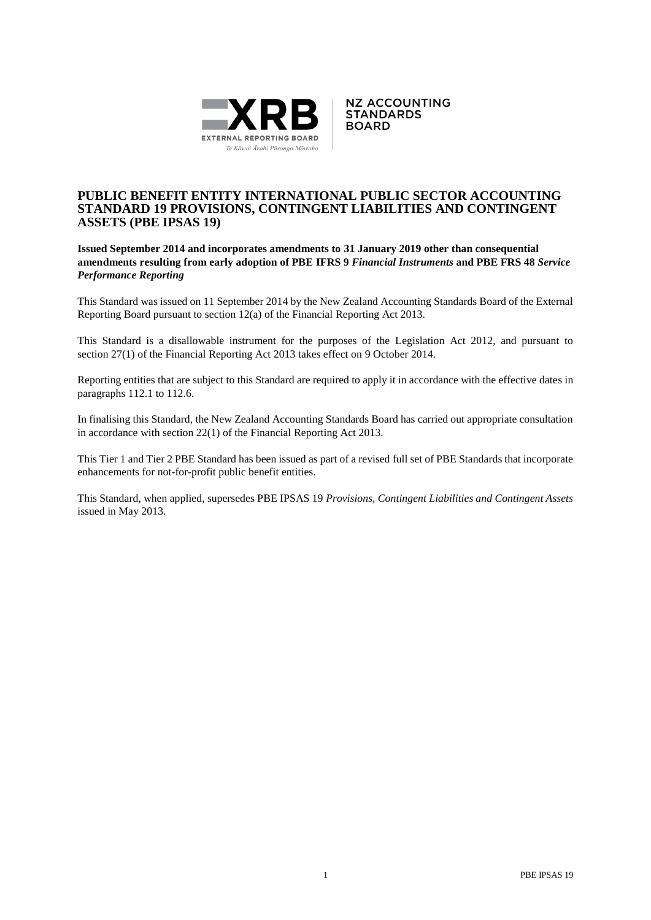



# **PUBLIC BENEFIT ENTITY INTERNATIONAL PUBLIC SECTOR ACCOUNTING STANDARD 19 PROVISIONS, CONTINGENT LIABILITIES AND CONTINGENT ASSETS (PBE IPSAS 19)**

# **Issued September 2014 and incorporates amendments to 31 January 2019 other than consequential amendments resulting from early adoption of PBE IFRS 9** *Financial Instruments* **and PBE FRS 48** *Service Performance Reporting*

This Standard was issued on 11 September 2014 by the New Zealand Accounting Standards Board of the External Reporting Board pursuant to section 12(a) of the Financial Reporting Act 2013.

This Standard is a disallowable instrument for the purposes of the Legislation Act 2012, and pursuant to section 27(1) of the Financial Reporting Act 2013 takes effect on 9 October 2014.

Reporting entities that are subject to this Standard are required to apply it in accordance with the effective dates in paragraphs 112.1 to 112.6.

In finalising this Standard, the New Zealand Accounting Standards Board has carried out appropriate consultation in accordance with section 22(1) of the Financial Reporting Act 2013.

This Tier 1 and Tier 2 PBE Standard has been issued as part of a revised full set of PBE Standards that incorporate enhancements for not-for-profit public benefit entities.

This Standard, when applied, supersedes PBE IPSAS 19 *Provisions, Contingent Liabilities and Contingent Assets* issued in May 2013.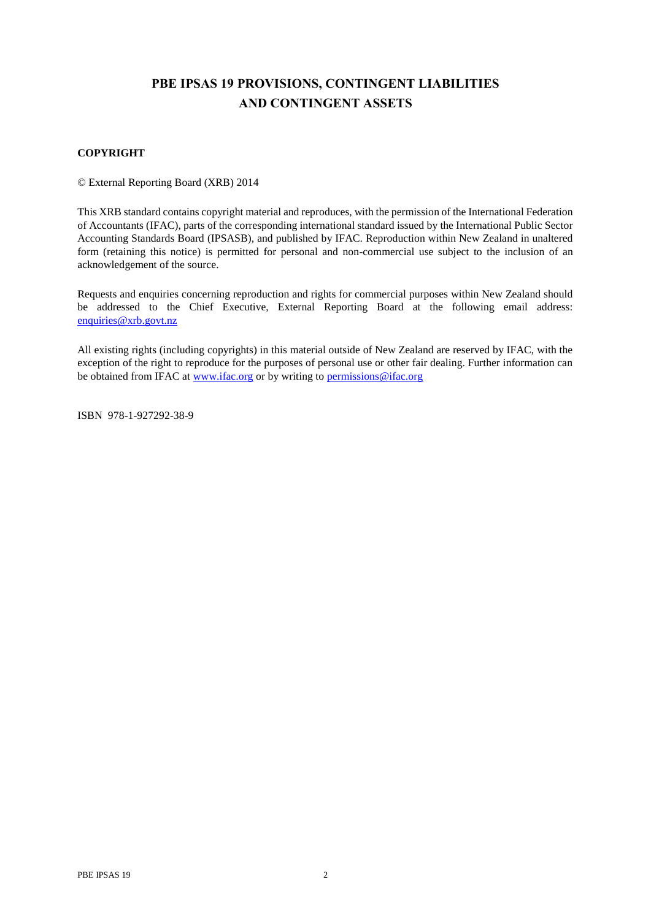# **PBE IPSAS 19 PROVISIONS, CONTINGENT LIABILITIES AND CONTINGENT ASSETS**

# **COPYRIGHT**

© External Reporting Board (XRB) 2014

This XRB standard contains copyright material and reproduces, with the permission of the International Federation of Accountants (IFAC), parts of the corresponding international standard issued by the International Public Sector Accounting Standards Board (IPSASB), and published by IFAC. Reproduction within New Zealand in unaltered form (retaining this notice) is permitted for personal and non-commercial use subject to the inclusion of an acknowledgement of the source.

Requests and enquiries concerning reproduction and rights for commercial purposes within New Zealand should be addressed to the Chief Executive, External Reporting Board at the following email address: [enquiries@xrb.govt.nz](mailto:enquiries@xrb.govt.nz)

All existing rights (including copyrights) in this material outside of New Zealand are reserved by IFAC, with the exception of the right to reproduce for the purposes of personal use or other fair dealing. Further information can be obtained from IFAC a[t www.ifac.org](http://www.ifac.org/) or by writing to [permissions@ifac.org](mailto:permissions@ifac.org)

ISBN 978-1-927292-38-9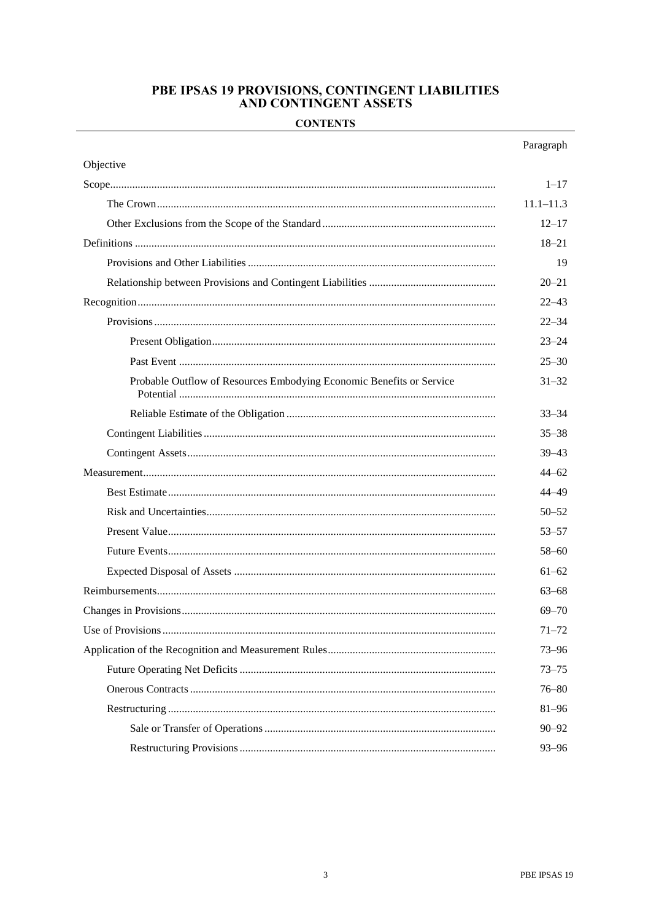# PBE IPSAS 19 PROVISIONS, CONTINGENT LIABILITIES<br>AND CONTINGENT ASSETS

# **CONTENTS**

|                                                                      | Paragraph     |
|----------------------------------------------------------------------|---------------|
| Objective                                                            |               |
|                                                                      | $1 - 17$      |
|                                                                      | $11.1 - 11.3$ |
|                                                                      | $12 - 17$     |
|                                                                      | $18 - 21$     |
|                                                                      | 19            |
|                                                                      | $20 - 21$     |
|                                                                      | $22 - 43$     |
|                                                                      | $22 - 34$     |
|                                                                      | $23 - 24$     |
|                                                                      | $25 - 30$     |
| Probable Outflow of Resources Embodying Economic Benefits or Service | $31 - 32$     |
|                                                                      | $33 - 34$     |
|                                                                      | $35 - 38$     |
|                                                                      | $39 - 43$     |
|                                                                      | $44 - 62$     |
|                                                                      | 44–49         |
|                                                                      | $50 - 52$     |
|                                                                      | $53 - 57$     |
|                                                                      | $58 - 60$     |
|                                                                      | $61 - 62$     |
|                                                                      | $63 - 68$     |
|                                                                      | $69 - 70$     |
|                                                                      | $71 - 72$     |
|                                                                      | $73 - 96$     |
|                                                                      | $73 - 75$     |
|                                                                      | $76 - 80$     |
|                                                                      | $81 - 96$     |
|                                                                      | $90 - 92$     |
|                                                                      | $93 - 96$     |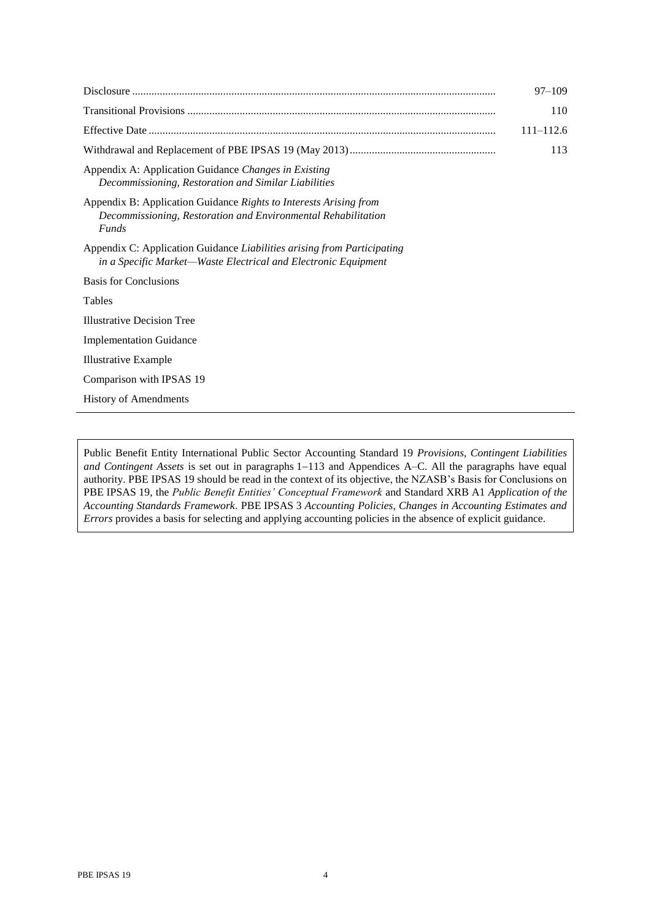|                                                                                                                                                    | $97 - 109$    |
|----------------------------------------------------------------------------------------------------------------------------------------------------|---------------|
|                                                                                                                                                    | 110           |
|                                                                                                                                                    | $111 - 112.6$ |
|                                                                                                                                                    | 113           |
| Appendix A: Application Guidance Changes in Existing<br>Decommissioning, Restoration and Similar Liabilities                                       |               |
| Appendix B: Application Guidance Rights to Interests Arising from<br>Decommissioning, Restoration and Environmental Rehabilitation<br><b>Funds</b> |               |
| Appendix C: Application Guidance Liabilities arising from Participating<br>in a Specific Market-Waste Electrical and Electronic Equipment          |               |
| Basis for Conclusions                                                                                                                              |               |
| <b>Tables</b>                                                                                                                                      |               |
| <b>Illustrative Decision Tree</b>                                                                                                                  |               |
| <b>Implementation Guidance</b>                                                                                                                     |               |
| <b>Illustrative Example</b>                                                                                                                        |               |
| Comparison with IPSAS 19                                                                                                                           |               |
| History of Amendments                                                                                                                              |               |

Public Benefit Entity International Public Sector Accounting Standard 19 *Provisions, Contingent Liabilities and Contingent Assets* is set out in paragraphs 1−113 and Appendices A–C. All the paragraphs have equal authority. PBE IPSAS 19 should be read in the context of its objective, the NZASB's Basis for Conclusions on PBE IPSAS 19, the *Public Benefit Entities' Conceptual Framework* and Standard XRB A1 *Application of the Accounting Standards Framework*. PBE IPSAS 3 *Accounting Policies, Changes in Accounting Estimates and Errors* provides a basis for selecting and applying accounting policies in the absence of explicit guidance.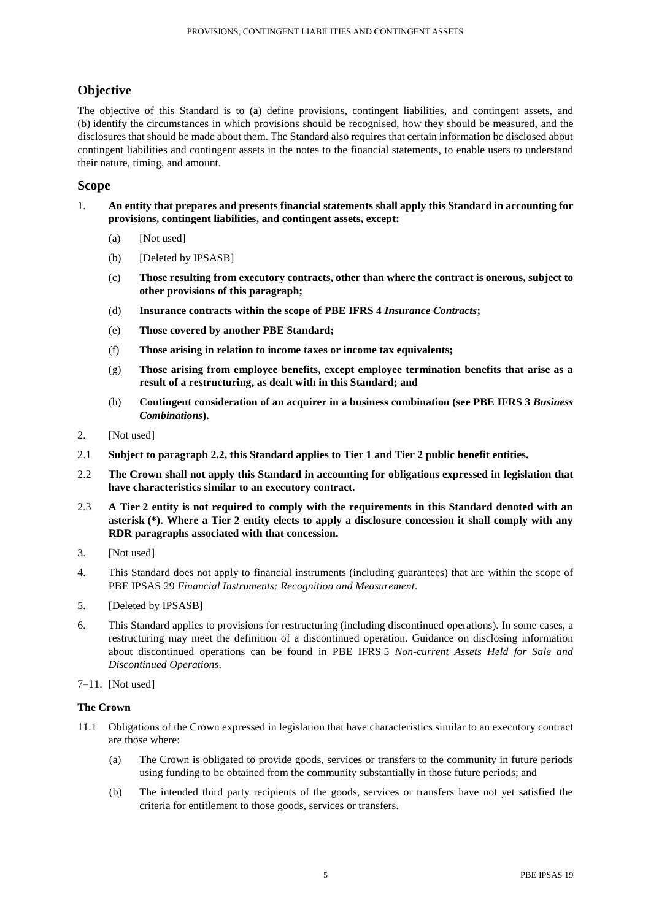# **Objective**

The objective of this Standard is to (a) define provisions, contingent liabilities, and contingent assets, and (b) identify the circumstances in which provisions should be recognised, how they should be measured, and the disclosures that should be made about them. The Standard also requires that certain information be disclosed about contingent liabilities and contingent assets in the notes to the financial statements, to enable users to understand their nature, timing, and amount.

# **Scope**

- 1. **An entity that prepares and presents financial statements shall apply this Standard in accounting for provisions, contingent liabilities, and contingent assets, except:**
	- (a) [Not used]
	- (b) [Deleted by IPSASB]
	- (c) **Those resulting from executory contracts, other than where the contract is onerous, subject to other provisions of this paragraph;**
	- (d) **Insurance contracts within the scope of PBE IFRS 4** *Insurance Contracts***;**
	- (e) **Those covered by another PBE Standard;**
	- (f) **Those arising in relation to income taxes or income tax equivalents;**
	- (g) **Those arising from employee benefits, except employee termination benefits that arise as a result of a restructuring, as dealt with in this Standard; and**
	- (h) **Contingent consideration of an acquirer in a business combination (see PBE IFRS 3** *Business Combinations***).**
- 2. [Not used]
- 2.1 **Subject to paragraph 2.2, this Standard applies to Tier 1 and Tier 2 public benefit entities.**
- 2.2 **The Crown shall not apply this Standard in accounting for obligations expressed in legislation that have characteristics similar to an executory contract.**
- 2.3 **A Tier 2 entity is not required to comply with the requirements in this Standard denoted with an asterisk (\*). Where a Tier 2 entity elects to apply a disclosure concession it shall comply with any RDR paragraphs associated with that concession.**
- 3. [Not used]
- 4. This Standard does not apply to financial instruments (including guarantees) that are within the scope of PBE IPSAS 29 *Financial Instruments: Recognition and Measurement.*
- 5. [Deleted by IPSASB]
- 6. This Standard applies to provisions for restructuring (including discontinued operations). In some cases, a restructuring may meet the definition of a discontinued operation. Guidance on disclosing information about discontinued operations can be found in PBE IFRS 5 *Non-current Assets Held for Sale and Discontinued Operations*.
- 7–11. [Not used]

# **The Crown**

- 11.1 Obligations of the Crown expressed in legislation that have characteristics similar to an executory contract are those where:
	- (a) The Crown is obligated to provide goods, services or transfers to the community in future periods using funding to be obtained from the community substantially in those future periods; and
	- (b) The intended third party recipients of the goods, services or transfers have not yet satisfied the criteria for entitlement to those goods, services or transfers.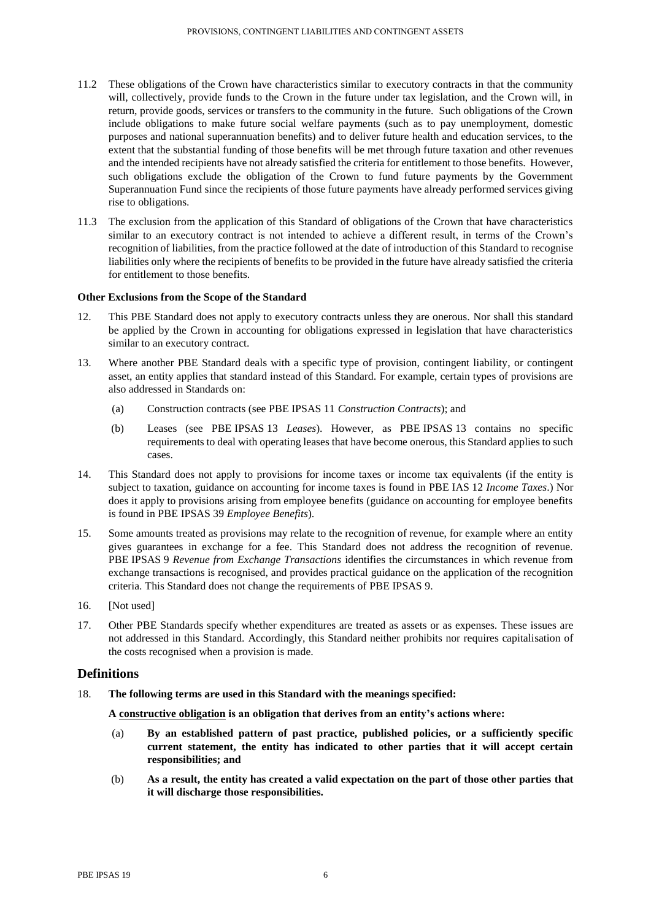- 11.2 These obligations of the Crown have characteristics similar to executory contracts in that the community will, collectively, provide funds to the Crown in the future under tax legislation, and the Crown will, in return, provide goods, services or transfers to the community in the future. Such obligations of the Crown include obligations to make future social welfare payments (such as to pay unemployment, domestic purposes and national superannuation benefits) and to deliver future health and education services, to the extent that the substantial funding of those benefits will be met through future taxation and other revenues and the intended recipients have not already satisfied the criteria for entitlement to those benefits. However, such obligations exclude the obligation of the Crown to fund future payments by the Government Superannuation Fund since the recipients of those future payments have already performed services giving rise to obligations.
- 11.3 The exclusion from the application of this Standard of obligations of the Crown that have characteristics similar to an executory contract is not intended to achieve a different result, in terms of the Crown's recognition of liabilities, from the practice followed at the date of introduction of this Standard to recognise liabilities only where the recipients of benefits to be provided in the future have already satisfied the criteria for entitlement to those benefits.

# **Other Exclusions from the Scope of the Standard**

- 12. This PBE Standard does not apply to executory contracts unless they are onerous. Nor shall this standard be applied by the Crown in accounting for obligations expressed in legislation that have characteristics similar to an executory contract.
- 13. Where another PBE Standard deals with a specific type of provision, contingent liability, or contingent asset, an entity applies that standard instead of this Standard. For example, certain types of provisions are also addressed in Standards on:
	- (a) Construction contracts (see PBE IPSAS 11 *Construction Contracts*); and
	- (b) Leases (see PBE IPSAS 13 *Leases*). However, as PBE IPSAS 13 contains no specific requirements to deal with operating leases that have become onerous, this Standard applies to such cases.
- 14. This Standard does not apply to provisions for income taxes or income tax equivalents (if the entity is subject to taxation, guidance on accounting for income taxes is found in PBE IAS 12 *Income Taxes*.) Nor does it apply to provisions arising from employee benefits (guidance on accounting for employee benefits is found in PBE IPSAS 39 *Employee Benefits*).
- 15. Some amounts treated as provisions may relate to the recognition of revenue, for example where an entity gives guarantees in exchange for a fee. This Standard does not address the recognition of revenue. PBE IPSAS 9 *Revenue from Exchange Transactions* identifies the circumstances in which revenue from exchange transactions is recognised, and provides practical guidance on the application of the recognition criteria. This Standard does not change the requirements of PBE IPSAS 9.
- 16. [Not used]
- 17. Other PBE Standards specify whether expenditures are treated as assets or as expenses. These issues are not addressed in this Standard. Accordingly, this Standard neither prohibits nor requires capitalisation of the costs recognised when a provision is made.

# **Definitions**

18. **The following terms are used in this Standard with the meanings specified:**

**A constructive obligation is an obligation that derives from an entity's actions where:**

- (a) **By an established pattern of past practice, published policies, or a sufficiently specific current statement, the entity has indicated to other parties that it will accept certain responsibilities; and**
- (b) **As a result, the entity has created a valid expectation on the part of those other parties that it will discharge those responsibilities.**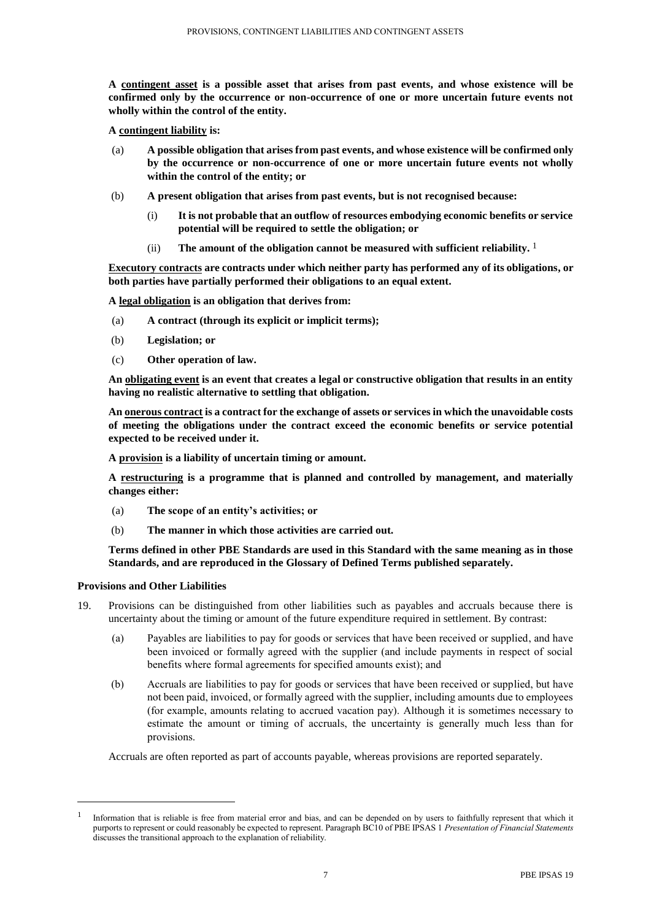**A contingent asset is a possible asset that arises from past events, and whose existence will be confirmed only by the occurrence or non-occurrence of one or more uncertain future events not wholly within the control of the entity.**

**A contingent liability is:**

- (a) **A possible obligation that arises from past events, and whose existence will be confirmed only by the occurrence or non-occurrence of one or more uncertain future events not wholly within the control of the entity; or**
- (b) **A present obligation that arises from past events, but is not recognised because:**
	- (i) **It is not probable that an outflow of resources embodying economic benefits or service potential will be required to settle the obligation; or**
	- $(i)$  The amount of the obligation cannot be measured with sufficient reliability. <sup>1</sup>

**Executory contracts are contracts under which neither party has performed any of its obligations, or both parties have partially performed their obligations to an equal extent.**

**A legal obligation is an obligation that derives from:**

- (a) **A contract (through its explicit or implicit terms);**
- (b) **Legislation; or**
- (c) **Other operation of law.**

**An obligating event is an event that creates a legal or constructive obligation that results in an entity having no realistic alternative to settling that obligation.**

**An onerous contract is a contract for the exchange of assets or services in which the unavoidable costs of meeting the obligations under the contract exceed the economic benefits or service potential expected to be received under it.**

**A provision is a liability of uncertain timing or amount.**

**A restructuring is a programme that is planned and controlled by management, and materially changes either:**

- (a) **The scope of an entity's activities; or**
- (b) **The manner in which those activities are carried out.**

**Terms defined in other PBE Standards are used in this Standard with the same meaning as in those Standards, and are reproduced in the Glossary of Defined Terms published separately.**

#### **Provisions and Other Liabilities**

 $\overline{\phantom{a}}$ 

- 19. Provisions can be distinguished from other liabilities such as payables and accruals because there is uncertainty about the timing or amount of the future expenditure required in settlement. By contrast:
	- (a) Payables are liabilities to pay for goods or services that have been received or supplied, and have been invoiced or formally agreed with the supplier (and include payments in respect of social benefits where formal agreements for specified amounts exist); and
	- (b) Accruals are liabilities to pay for goods or services that have been received or supplied, but have not been paid, invoiced, or formally agreed with the supplier, including amounts due to employees (for example, amounts relating to accrued vacation pay). Although it is sometimes necessary to estimate the amount or timing of accruals, the uncertainty is generally much less than for provisions.

Accruals are often reported as part of accounts payable, whereas provisions are reported separately.

<sup>1</sup> Information that is reliable is free from material error and bias, and can be depended on by users to faithfully represent that which it purports to represent or could reasonably be expected to represent. Paragraph BC10 of PBE IPSAS 1 *Presentation of Financial Statements* discusses the transitional approach to the explanation of reliability.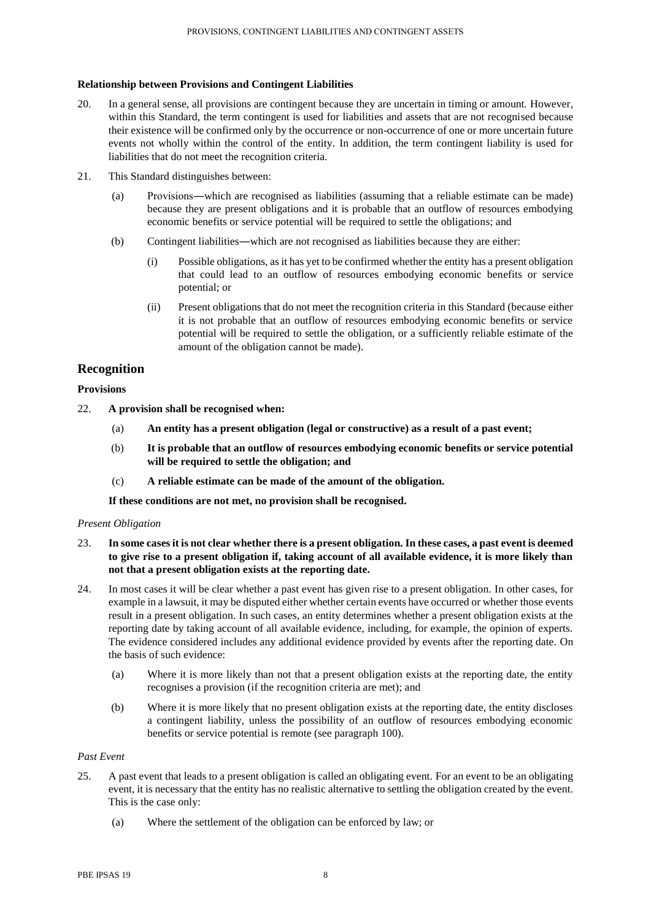# **Relationship between Provisions and Contingent Liabilities**

- 20. In a general sense, all provisions are contingent because they are uncertain in timing or amount. However, within this Standard, the term contingent is used for liabilities and assets that are not recognised because their existence will be confirmed only by the occurrence or non-occurrence of one or more uncertain future events not wholly within the control of the entity. In addition, the term contingent liability is used for liabilities that do not meet the recognition criteria.
- 21. This Standard distinguishes between:
	- (a) Provisions―which are recognised as liabilities (assuming that a reliable estimate can be made) because they are present obligations and it is probable that an outflow of resources embodying economic benefits or service potential will be required to settle the obligations; and
	- (b) Contingent liabilities―which are not recognised as liabilities because they are either:
		- (i) Possible obligations, as it has yet to be confirmed whether the entity has a present obligation that could lead to an outflow of resources embodying economic benefits or service potential; or
		- (ii) Present obligations that do not meet the recognition criteria in this Standard (because either it is not probable that an outflow of resources embodying economic benefits or service potential will be required to settle the obligation, or a sufficiently reliable estimate of the amount of the obligation cannot be made).

# **Recognition**

# **Provisions**

- 22. **A provision shall be recognised when:**
	- (a) **An entity has a present obligation (legal or constructive) as a result of a past event;**
	- (b) **It is probable that an outflow of resources embodying economic benefits or service potential will be required to settle the obligation; and**
	- (c) **A reliable estimate can be made of the amount of the obligation.**

**If these conditions are not met, no provision shall be recognised.**

# *Present Obligation*

- 23. **In some cases it is not clear whether there is a present obligation. In these cases, a past event is deemed to give rise to a present obligation if, taking account of all available evidence, it is more likely than not that a present obligation exists at the reporting date.**
- 24. In most cases it will be clear whether a past event has given rise to a present obligation. In other cases, for example in a lawsuit, it may be disputed either whether certain events have occurred or whether those events result in a present obligation. In such cases, an entity determines whether a present obligation exists at the reporting date by taking account of all available evidence, including, for example, the opinion of experts. The evidence considered includes any additional evidence provided by events after the reporting date. On the basis of such evidence:
	- (a) Where it is more likely than not that a present obligation exists at the reporting date, the entity recognises a provision (if the recognition criteria are met); and
	- (b) Where it is more likely that no present obligation exists at the reporting date, the entity discloses a contingent liability, unless the possibility of an outflow of resources embodying economic benefits or service potential is remote (see paragraph 100).

# *Past Event*

- 25. A past event that leads to a present obligation is called an obligating event. For an event to be an obligating event, it is necessary that the entity has no realistic alternative to settling the obligation created by the event. This is the case only:
	- (a) Where the settlement of the obligation can be enforced by law; or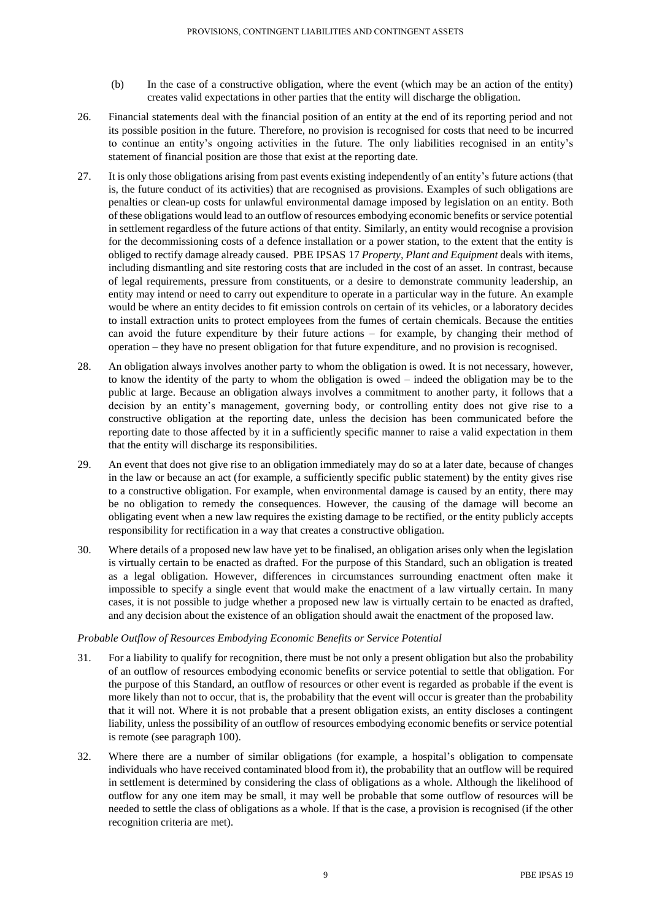- (b) In the case of a constructive obligation, where the event (which may be an action of the entity) creates valid expectations in other parties that the entity will discharge the obligation.
- 26. Financial statements deal with the financial position of an entity at the end of its reporting period and not its possible position in the future. Therefore, no provision is recognised for costs that need to be incurred to continue an entity's ongoing activities in the future. The only liabilities recognised in an entity's statement of financial position are those that exist at the reporting date.
- 27. It is only those obligations arising from past events existing independently of an entity's future actions (that is, the future conduct of its activities) that are recognised as provisions. Examples of such obligations are penalties or clean-up costs for unlawful environmental damage imposed by legislation on an entity. Both of these obligations would lead to an outflow of resources embodying economic benefits or service potential in settlement regardless of the future actions of that entity. Similarly, an entity would recognise a provision for the decommissioning costs of a defence installation or a power station, to the extent that the entity is obliged to rectify damage already caused. PBE IPSAS 17 *Property, Plant and Equipment* deals with items, including dismantling and site restoring costs that are included in the cost of an asset. In contrast, because of legal requirements, pressure from constituents, or a desire to demonstrate community leadership, an entity may intend or need to carry out expenditure to operate in a particular way in the future. An example would be where an entity decides to fit emission controls on certain of its vehicles, or a laboratory decides to install extraction units to protect employees from the fumes of certain chemicals. Because the entities can avoid the future expenditure by their future actions – for example, by changing their method of operation – they have no present obligation for that future expenditure, and no provision is recognised.
- 28. An obligation always involves another party to whom the obligation is owed. It is not necessary, however, to know the identity of the party to whom the obligation is owed – indeed the obligation may be to the public at large. Because an obligation always involves a commitment to another party, it follows that a decision by an entity's management, governing body, or controlling entity does not give rise to a constructive obligation at the reporting date, unless the decision has been communicated before the reporting date to those affected by it in a sufficiently specific manner to raise a valid expectation in them that the entity will discharge its responsibilities.
- 29. An event that does not give rise to an obligation immediately may do so at a later date, because of changes in the law or because an act (for example, a sufficiently specific public statement) by the entity gives rise to a constructive obligation. For example, when environmental damage is caused by an entity, there may be no obligation to remedy the consequences. However, the causing of the damage will become an obligating event when a new law requires the existing damage to be rectified, or the entity publicly accepts responsibility for rectification in a way that creates a constructive obligation.
- 30. Where details of a proposed new law have yet to be finalised, an obligation arises only when the legislation is virtually certain to be enacted as drafted. For the purpose of this Standard, such an obligation is treated as a legal obligation. However, differences in circumstances surrounding enactment often make it impossible to specify a single event that would make the enactment of a law virtually certain. In many cases, it is not possible to judge whether a proposed new law is virtually certain to be enacted as drafted, and any decision about the existence of an obligation should await the enactment of the proposed law.

# *Probable Outflow of Resources Embodying Economic Benefits or Service Potential*

- 31. For a liability to qualify for recognition, there must be not only a present obligation but also the probability of an outflow of resources embodying economic benefits or service potential to settle that obligation. For the purpose of this Standard, an outflow of resources or other event is regarded as probable if the event is more likely than not to occur, that is, the probability that the event will occur is greater than the probability that it will not. Where it is not probable that a present obligation exists, an entity discloses a contingent liability, unless the possibility of an outflow of resources embodying economic benefits or service potential is remote (see paragraph 100).
- 32. Where there are a number of similar obligations (for example, a hospital's obligation to compensate individuals who have received contaminated blood from it), the probability that an outflow will be required in settlement is determined by considering the class of obligations as a whole. Although the likelihood of outflow for any one item may be small, it may well be probable that some outflow of resources will be needed to settle the class of obligations as a whole. If that is the case, a provision is recognised (if the other recognition criteria are met).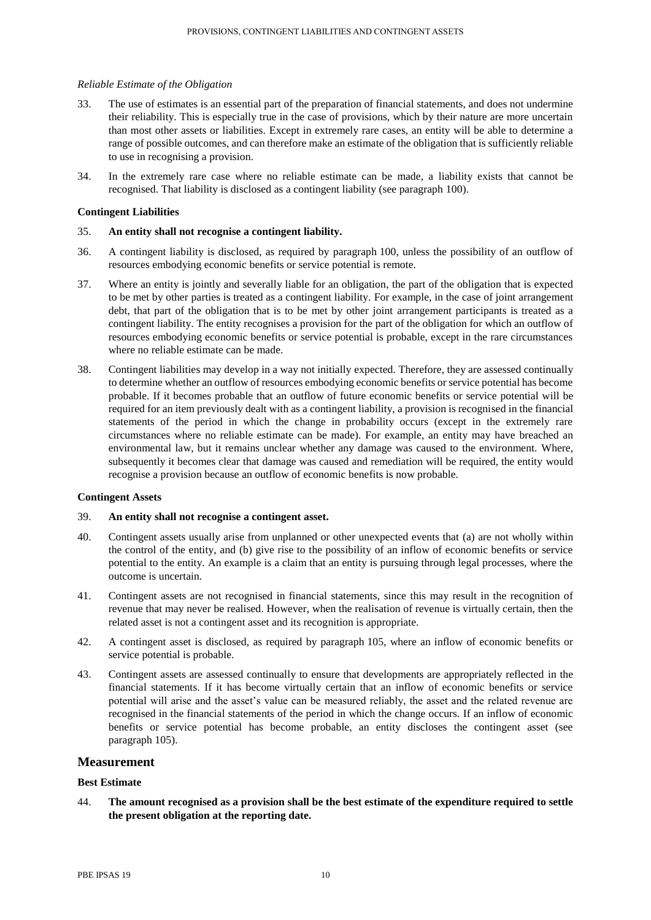# *Reliable Estimate of the Obligation*

- 33. The use of estimates is an essential part of the preparation of financial statements, and does not undermine their reliability. This is especially true in the case of provisions, which by their nature are more uncertain than most other assets or liabilities. Except in extremely rare cases, an entity will be able to determine a range of possible outcomes, and can therefore make an estimate of the obligation that is sufficiently reliable to use in recognising a provision.
- 34. In the extremely rare case where no reliable estimate can be made, a liability exists that cannot be recognised. That liability is disclosed as a contingent liability (see paragraph 100).

# **Contingent Liabilities**

# 35. **An entity shall not recognise a contingent liability.**

- 36. A contingent liability is disclosed, as required by paragraph 100, unless the possibility of an outflow of resources embodying economic benefits or service potential is remote.
- 37. Where an entity is jointly and severally liable for an obligation, the part of the obligation that is expected to be met by other parties is treated as a contingent liability. For example, in the case of joint arrangement debt, that part of the obligation that is to be met by other joint arrangement participants is treated as a contingent liability. The entity recognises a provision for the part of the obligation for which an outflow of resources embodying economic benefits or service potential is probable, except in the rare circumstances where no reliable estimate can be made.
- 38. Contingent liabilities may develop in a way not initially expected. Therefore, they are assessed continually to determine whether an outflow of resources embodying economic benefits or service potential has become probable. If it becomes probable that an outflow of future economic benefits or service potential will be required for an item previously dealt with as a contingent liability, a provision is recognised in the financial statements of the period in which the change in probability occurs (except in the extremely rare circumstances where no reliable estimate can be made). For example, an entity may have breached an environmental law, but it remains unclear whether any damage was caused to the environment. Where, subsequently it becomes clear that damage was caused and remediation will be required, the entity would recognise a provision because an outflow of economic benefits is now probable.

# **Contingent Assets**

#### 39. **An entity shall not recognise a contingent asset.**

- 40. Contingent assets usually arise from unplanned or other unexpected events that (a) are not wholly within the control of the entity, and (b) give rise to the possibility of an inflow of economic benefits or service potential to the entity. An example is a claim that an entity is pursuing through legal processes, where the outcome is uncertain.
- 41. Contingent assets are not recognised in financial statements, since this may result in the recognition of revenue that may never be realised. However, when the realisation of revenue is virtually certain, then the related asset is not a contingent asset and its recognition is appropriate.
- 42. A contingent asset is disclosed, as required by paragraph 105, where an inflow of economic benefits or service potential is probable.
- 43. Contingent assets are assessed continually to ensure that developments are appropriately reflected in the financial statements. If it has become virtually certain that an inflow of economic benefits or service potential will arise and the asset's value can be measured reliably, the asset and the related revenue are recognised in the financial statements of the period in which the change occurs. If an inflow of economic benefits or service potential has become probable, an entity discloses the contingent asset (see paragraph 105).

# **Measurement**

# **Best Estimate**

44. **The amount recognised as a provision shall be the best estimate of the expenditure required to settle the present obligation at the reporting date.**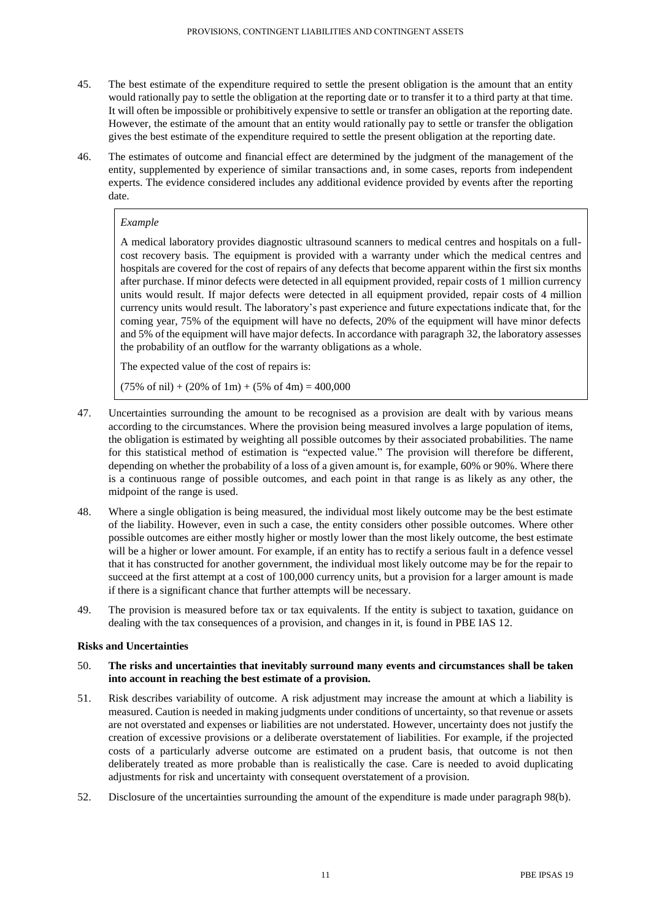- 45. The best estimate of the expenditure required to settle the present obligation is the amount that an entity would rationally pay to settle the obligation at the reporting date or to transfer it to a third party at that time. It will often be impossible or prohibitively expensive to settle or transfer an obligation at the reporting date. However, the estimate of the amount that an entity would rationally pay to settle or transfer the obligation gives the best estimate of the expenditure required to settle the present obligation at the reporting date.
- 46. The estimates of outcome and financial effect are determined by the judgment of the management of the entity, supplemented by experience of similar transactions and, in some cases, reports from independent experts. The evidence considered includes any additional evidence provided by events after the reporting date.

# *Example*

A medical laboratory provides diagnostic ultrasound scanners to medical centres and hospitals on a fullcost recovery basis. The equipment is provided with a warranty under which the medical centres and hospitals are covered for the cost of repairs of any defects that become apparent within the first six months after purchase. If minor defects were detected in all equipment provided, repair costs of 1 million currency units would result. If major defects were detected in all equipment provided, repair costs of 4 million currency units would result. The laboratory's past experience and future expectations indicate that, for the coming year, 75% of the equipment will have no defects, 20% of the equipment will have minor defects and 5% of the equipment will have major defects. In accordance with paragraph 32, the laboratory assesses the probability of an outflow for the warranty obligations as a whole.

The expected value of the cost of repairs is:

 $(75\% \text{ of } \text{nil}) + (20\% \text{ of } \text{1m}) + (5\% \text{ of } \text{4m}) = 400,000$ 

- 47. Uncertainties surrounding the amount to be recognised as a provision are dealt with by various means according to the circumstances. Where the provision being measured involves a large population of items, the obligation is estimated by weighting all possible outcomes by their associated probabilities. The name for this statistical method of estimation is "expected value." The provision will therefore be different, depending on whether the probability of a loss of a given amount is, for example, 60% or 90%. Where there is a continuous range of possible outcomes, and each point in that range is as likely as any other, the midpoint of the range is used.
- 48. Where a single obligation is being measured, the individual most likely outcome may be the best estimate of the liability. However, even in such a case, the entity considers other possible outcomes. Where other possible outcomes are either mostly higher or mostly lower than the most likely outcome, the best estimate will be a higher or lower amount. For example, if an entity has to rectify a serious fault in a defence vessel that it has constructed for another government, the individual most likely outcome may be for the repair to succeed at the first attempt at a cost of 100,000 currency units, but a provision for a larger amount is made if there is a significant chance that further attempts will be necessary.
- 49. The provision is measured before tax or tax equivalents. If the entity is subject to taxation, guidance on dealing with the tax consequences of a provision, and changes in it, is found in PBE IAS 12.

# **Risks and Uncertainties**

- 50. **The risks and uncertainties that inevitably surround many events and circumstances shall be taken into account in reaching the best estimate of a provision.**
- 51. Risk describes variability of outcome. A risk adjustment may increase the amount at which a liability is measured. Caution is needed in making judgments under conditions of uncertainty, so that revenue or assets are not overstated and expenses or liabilities are not understated. However, uncertainty does not justify the creation of excessive provisions or a deliberate overstatement of liabilities. For example, if the projected costs of a particularly adverse outcome are estimated on a prudent basis, that outcome is not then deliberately treated as more probable than is realistically the case. Care is needed to avoid duplicating adjustments for risk and uncertainty with consequent overstatement of a provision.
- 52. Disclosure of the uncertainties surrounding the amount of the expenditure is made under paragraph 98(b).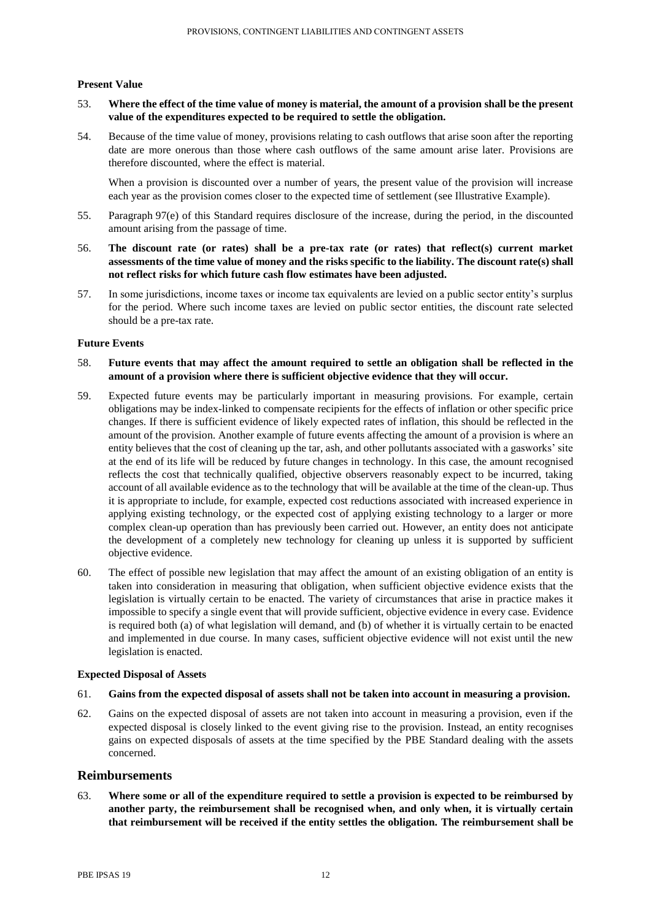# **Present Value**

- 53. **Where the effect of the time value of money is material, the amount of a provision shall be the present value of the expenditures expected to be required to settle the obligation.**
- 54. Because of the time value of money, provisions relating to cash outflows that arise soon after the reporting date are more onerous than those where cash outflows of the same amount arise later. Provisions are therefore discounted, where the effect is material.

When a provision is discounted over a number of years, the present value of the provision will increase each year as the provision comes closer to the expected time of settlement (see Illustrative Example).

- 55. Paragraph 97(e) of this Standard requires disclosure of the increase, during the period, in the discounted amount arising from the passage of time.
- 56. **The discount rate (or rates) shall be a pre-tax rate (or rates) that reflect(s) current market assessments of the time value of money and the risks specific to the liability. The discount rate(s) shall not reflect risks for which future cash flow estimates have been adjusted.**
- 57. In some jurisdictions, income taxes or income tax equivalents are levied on a public sector entity's surplus for the period. Where such income taxes are levied on public sector entities, the discount rate selected should be a pre-tax rate.

#### **Future Events**

- 58. **Future events that may affect the amount required to settle an obligation shall be reflected in the amount of a provision where there is sufficient objective evidence that they will occur.**
- 59. Expected future events may be particularly important in measuring provisions. For example, certain obligations may be index-linked to compensate recipients for the effects of inflation or other specific price changes. If there is sufficient evidence of likely expected rates of inflation, this should be reflected in the amount of the provision. Another example of future events affecting the amount of a provision is where an entity believes that the cost of cleaning up the tar, ash, and other pollutants associated with a gasworks' site at the end of its life will be reduced by future changes in technology. In this case, the amount recognised reflects the cost that technically qualified, objective observers reasonably expect to be incurred, taking account of all available evidence as to the technology that will be available at the time of the clean-up. Thus it is appropriate to include, for example, expected cost reductions associated with increased experience in applying existing technology, or the expected cost of applying existing technology to a larger or more complex clean-up operation than has previously been carried out. However, an entity does not anticipate the development of a completely new technology for cleaning up unless it is supported by sufficient objective evidence.
- 60. The effect of possible new legislation that may affect the amount of an existing obligation of an entity is taken into consideration in measuring that obligation, when sufficient objective evidence exists that the legislation is virtually certain to be enacted. The variety of circumstances that arise in practice makes it impossible to specify a single event that will provide sufficient, objective evidence in every case. Evidence is required both (a) of what legislation will demand, and (b) of whether it is virtually certain to be enacted and implemented in due course. In many cases, sufficient objective evidence will not exist until the new legislation is enacted.

# **Expected Disposal of Assets**

- 61. **Gains from the expected disposal of assets shall not be taken into account in measuring a provision.**
- 62. Gains on the expected disposal of assets are not taken into account in measuring a provision, even if the expected disposal is closely linked to the event giving rise to the provision. Instead, an entity recognises gains on expected disposals of assets at the time specified by the PBE Standard dealing with the assets concerned.

# **Reimbursements**

63. **Where some or all of the expenditure required to settle a provision is expected to be reimbursed by another party, the reimbursement shall be recognised when, and only when, it is virtually certain that reimbursement will be received if the entity settles the obligation. The reimbursement shall be**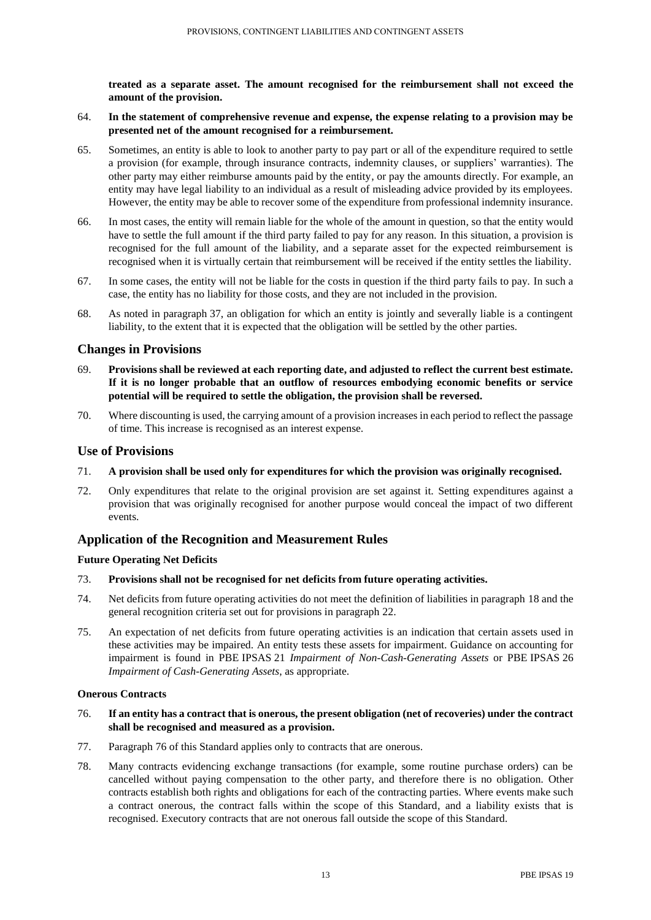**treated as a separate asset. The amount recognised for the reimbursement shall not exceed the amount of the provision.**

- 64. **In the statement of comprehensive revenue and expense, the expense relating to a provision may be presented net of the amount recognised for a reimbursement.**
- 65. Sometimes, an entity is able to look to another party to pay part or all of the expenditure required to settle a provision (for example, through insurance contracts, indemnity clauses, or suppliers' warranties). The other party may either reimburse amounts paid by the entity, or pay the amounts directly. For example, an entity may have legal liability to an individual as a result of misleading advice provided by its employees. However, the entity may be able to recover some of the expenditure from professional indemnity insurance.
- 66. In most cases, the entity will remain liable for the whole of the amount in question, so that the entity would have to settle the full amount if the third party failed to pay for any reason. In this situation, a provision is recognised for the full amount of the liability, and a separate asset for the expected reimbursement is recognised when it is virtually certain that reimbursement will be received if the entity settles the liability.
- 67. In some cases, the entity will not be liable for the costs in question if the third party fails to pay. In such a case, the entity has no liability for those costs, and they are not included in the provision.
- 68. As noted in paragraph 37, an obligation for which an entity is jointly and severally liable is a contingent liability, to the extent that it is expected that the obligation will be settled by the other parties.

# **Changes in Provisions**

- 69. **Provisions shall be reviewed at each reporting date, and adjusted to reflect the current best estimate. If it is no longer probable that an outflow of resources embodying economic benefits or service potential will be required to settle the obligation, the provision shall be reversed.**
- 70. Where discounting is used, the carrying amount of a provision increases in each period to reflect the passage of time. This increase is recognised as an interest expense.

# **Use of Provisions**

- 71. **A provision shall be used only for expenditures for which the provision was originally recognised.**
- 72. Only expenditures that relate to the original provision are set against it. Setting expenditures against a provision that was originally recognised for another purpose would conceal the impact of two different events.

# **Application of the Recognition and Measurement Rules**

# **Future Operating Net Deficits**

- 73. **Provisions shall not be recognised for net deficits from future operating activities.**
- 74. Net deficits from future operating activities do not meet the definition of liabilities in paragraph 18 and the general recognition criteria set out for provisions in paragraph 22.
- 75. An expectation of net deficits from future operating activities is an indication that certain assets used in these activities may be impaired. An entity tests these assets for impairment. Guidance on accounting for impairment is found in PBE IPSAS 21 *Impairment of Non-Cash-Generating Assets* or PBE IPSAS 26 *Impairment of Cash-Generating Assets*, as appropriate.

# **Onerous Contracts**

- 76. **If an entity has a contract that is onerous, the present obligation (net of recoveries) under the contract shall be recognised and measured as a provision.**
- 77. Paragraph 76 of this Standard applies only to contracts that are onerous.
- 78. Many contracts evidencing exchange transactions (for example, some routine purchase orders) can be cancelled without paying compensation to the other party, and therefore there is no obligation. Other contracts establish both rights and obligations for each of the contracting parties. Where events make such a contract onerous, the contract falls within the scope of this Standard, and a liability exists that is recognised. Executory contracts that are not onerous fall outside the scope of this Standard.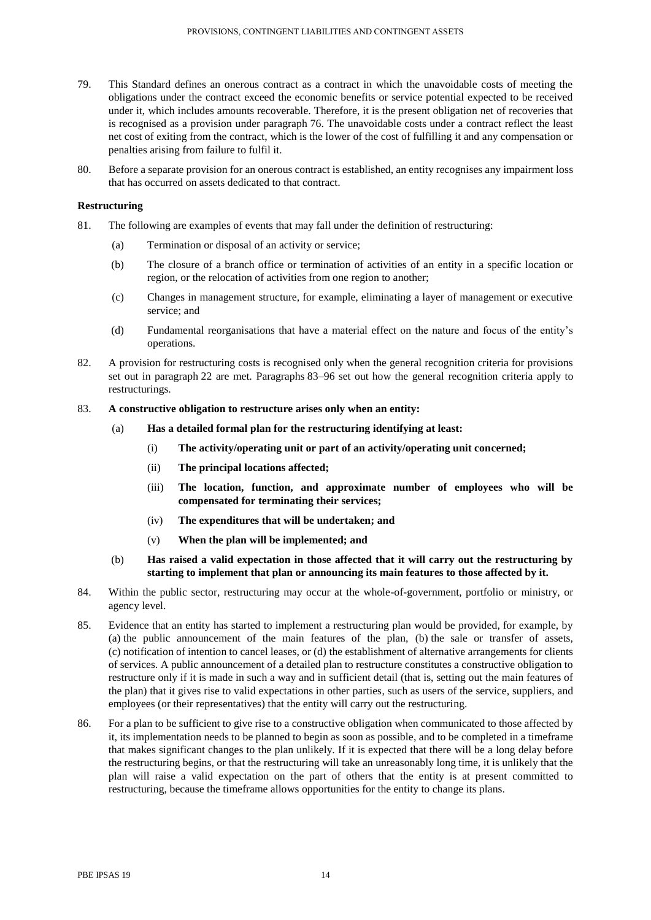- 79. This Standard defines an onerous contract as a contract in which the unavoidable costs of meeting the obligations under the contract exceed the economic benefits or service potential expected to be received under it, which includes amounts recoverable. Therefore, it is the present obligation net of recoveries that is recognised as a provision under paragraph 76. The unavoidable costs under a contract reflect the least net cost of exiting from the contract, which is the lower of the cost of fulfilling it and any compensation or penalties arising from failure to fulfil it.
- 80. Before a separate provision for an onerous contract is established, an entity recognises any impairment loss that has occurred on assets dedicated to that contract.

# **Restructuring**

- 81. The following are examples of events that may fall under the definition of restructuring:
	- (a) Termination or disposal of an activity or service;
	- (b) The closure of a branch office or termination of activities of an entity in a specific location or region, or the relocation of activities from one region to another;
	- (c) Changes in management structure, for example, eliminating a layer of management or executive service; and
	- (d) Fundamental reorganisations that have a material effect on the nature and focus of the entity's operations.
- 82. A provision for restructuring costs is recognised only when the general recognition criteria for provisions set out in paragraph 22 are met. Paragraphs 83–96 set out how the general recognition criteria apply to restructurings.

# 83. **A constructive obligation to restructure arises only when an entity:**

- (a) **Has a detailed formal plan for the restructuring identifying at least:**
	- (i) **The activity/operating unit or part of an activity/operating unit concerned;**
	- (ii) **The principal locations affected;**
	- (iii) **The location, function, and approximate number of employees who will be compensated for terminating their services;**
	- (iv) **The expenditures that will be undertaken; and**
	- (v) **When the plan will be implemented; and**
- (b) **Has raised a valid expectation in those affected that it will carry out the restructuring by starting to implement that plan or announcing its main features to those affected by it.**
- 84. Within the public sector, restructuring may occur at the whole-of-government, portfolio or ministry, or agency level.
- 85. Evidence that an entity has started to implement a restructuring plan would be provided, for example, by (a) the public announcement of the main features of the plan, (b) the sale or transfer of assets, (c) notification of intention to cancel leases, or (d) the establishment of alternative arrangements for clients of services. A public announcement of a detailed plan to restructure constitutes a constructive obligation to restructure only if it is made in such a way and in sufficient detail (that is, setting out the main features of the plan) that it gives rise to valid expectations in other parties, such as users of the service, suppliers, and employees (or their representatives) that the entity will carry out the restructuring.
- 86. For a plan to be sufficient to give rise to a constructive obligation when communicated to those affected by it, its implementation needs to be planned to begin as soon as possible, and to be completed in a timeframe that makes significant changes to the plan unlikely. If it is expected that there will be a long delay before the restructuring begins, or that the restructuring will take an unreasonably long time, it is unlikely that the plan will raise a valid expectation on the part of others that the entity is at present committed to restructuring, because the timeframe allows opportunities for the entity to change its plans.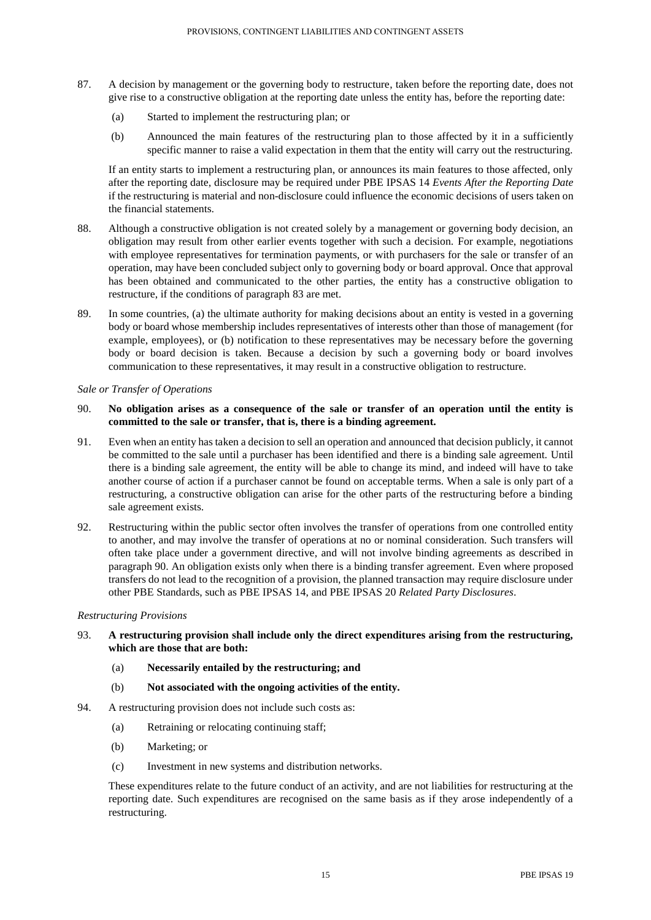- 87. A decision by management or the governing body to restructure, taken before the reporting date, does not give rise to a constructive obligation at the reporting date unless the entity has, before the reporting date:
	- (a) Started to implement the restructuring plan; or
	- (b) Announced the main features of the restructuring plan to those affected by it in a sufficiently specific manner to raise a valid expectation in them that the entity will carry out the restructuring.

If an entity starts to implement a restructuring plan, or announces its main features to those affected, only after the reporting date, disclosure may be required under PBE IPSAS 14 *Events After the Reporting Date* if the restructuring is material and non-disclosure could influence the economic decisions of users taken on the financial statements.

- 88. Although a constructive obligation is not created solely by a management or governing body decision, an obligation may result from other earlier events together with such a decision. For example, negotiations with employee representatives for termination payments, or with purchasers for the sale or transfer of an operation, may have been concluded subject only to governing body or board approval. Once that approval has been obtained and communicated to the other parties, the entity has a constructive obligation to restructure, if the conditions of paragraph 83 are met.
- 89. In some countries, (a) the ultimate authority for making decisions about an entity is vested in a governing body or board whose membership includes representatives of interests other than those of management (for example, employees), or (b) notification to these representatives may be necessary before the governing body or board decision is taken. Because a decision by such a governing body or board involves communication to these representatives, it may result in a constructive obligation to restructure.

# *Sale or Transfer of Operations*

# 90. **No obligation arises as a consequence of the sale or transfer of an operation until the entity is committed to the sale or transfer, that is, there is a binding agreement.**

- 91. Even when an entity has taken a decision to sell an operation and announced that decision publicly, it cannot be committed to the sale until a purchaser has been identified and there is a binding sale agreement. Until there is a binding sale agreement, the entity will be able to change its mind, and indeed will have to take another course of action if a purchaser cannot be found on acceptable terms. When a sale is only part of a restructuring, a constructive obligation can arise for the other parts of the restructuring before a binding sale agreement exists.
- 92. Restructuring within the public sector often involves the transfer of operations from one controlled entity to another, and may involve the transfer of operations at no or nominal consideration. Such transfers will often take place under a government directive, and will not involve binding agreements as described in paragraph 90. An obligation exists only when there is a binding transfer agreement. Even where proposed transfers do not lead to the recognition of a provision, the planned transaction may require disclosure under other PBE Standards, such as PBE IPSAS 14, and PBE IPSAS 20 *Related Party Disclosures*.

#### *Restructuring Provisions*

- 93. **A restructuring provision shall include only the direct expenditures arising from the restructuring, which are those that are both:**
	- (a) **Necessarily entailed by the restructuring; and**
	- (b) **Not associated with the ongoing activities of the entity.**
- 94. A restructuring provision does not include such costs as:
	- (a) Retraining or relocating continuing staff;
	- (b) Marketing; or
	- (c) Investment in new systems and distribution networks.

These expenditures relate to the future conduct of an activity, and are not liabilities for restructuring at the reporting date. Such expenditures are recognised on the same basis as if they arose independently of a restructuring.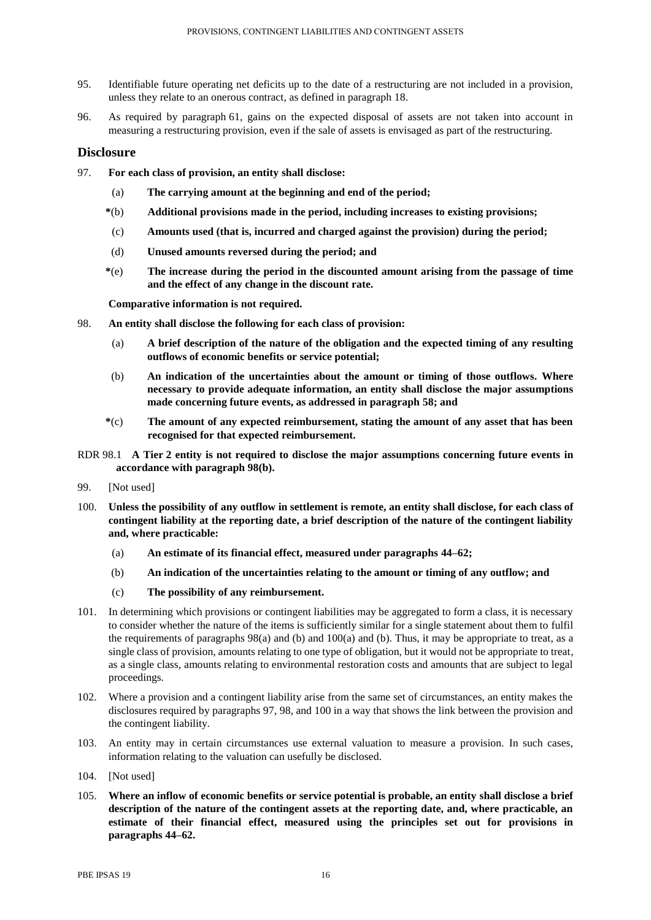- 95. Identifiable future operating net deficits up to the date of a restructuring are not included in a provision, unless they relate to an onerous contract, as defined in paragraph 18.
- 96. As required by paragraph 61, gains on the expected disposal of assets are not taken into account in measuring a restructuring provision, even if the sale of assets is envisaged as part of the restructuring.

# **Disclosure**

- 97. **For each class of provision, an entity shall disclose:**
	- (a) **The carrying amount at the beginning and end of the period;**
	- **\***(b) **Additional provisions made in the period, including increases to existing provisions;**
	- (c) **Amounts used (that is, incurred and charged against the provision) during the period;**
	- (d) **Unused amounts reversed during the period; and**
	- **\***(e) **The increase during the period in the discounted amount arising from the passage of time and the effect of any change in the discount rate.**

**Comparative information is not required.**

- 98. **An entity shall disclose the following for each class of provision:**
	- (a) **A brief description of the nature of the obligation and the expected timing of any resulting outflows of economic benefits or service potential;**
	- (b) **An indication of the uncertainties about the amount or timing of those outflows. Where necessary to provide adequate information, an entity shall disclose the major assumptions made concerning future events, as addressed in paragraph 58; and**
	- **\***(c) **The amount of any expected reimbursement, stating the amount of any asset that has been recognised for that expected reimbursement.**
- RDR 98.1 **A Tier 2 entity is not required to disclose the major assumptions concerning future events in accordance with paragraph 98(b).**
- 99. [Not used]
- 100. **Unless the possibility of any outflow in settlement is remote, an entity shall disclose, for each class of contingent liability at the reporting date, a brief description of the nature of the contingent liability and, where practicable:**
	- (a) **An estimate of its financial effect, measured under paragraphs 44–62;**
	- (b) **An indication of the uncertainties relating to the amount or timing of any outflow; and**
	- (c) **The possibility of any reimbursement.**
- 101. In determining which provisions or contingent liabilities may be aggregated to form a class, it is necessary to consider whether the nature of the items is sufficiently similar for a single statement about them to fulfil the requirements of paragraphs 98(a) and (b) and 100(a) and (b). Thus, it may be appropriate to treat, as a single class of provision, amounts relating to one type of obligation, but it would not be appropriate to treat, as a single class, amounts relating to environmental restoration costs and amounts that are subject to legal proceedings.
- 102. Where a provision and a contingent liability arise from the same set of circumstances, an entity makes the disclosures required by paragraphs 97, 98, and 100 in a way that shows the link between the provision and the contingent liability.
- 103. An entity may in certain circumstances use external valuation to measure a provision. In such cases, information relating to the valuation can usefully be disclosed.
- 104. [Not used]
- 105. **Where an inflow of economic benefits or service potential is probable, an entity shall disclose a brief description of the nature of the contingent assets at the reporting date, and, where practicable, an estimate of their financial effect, measured using the principles set out for provisions in paragraphs 44–62.**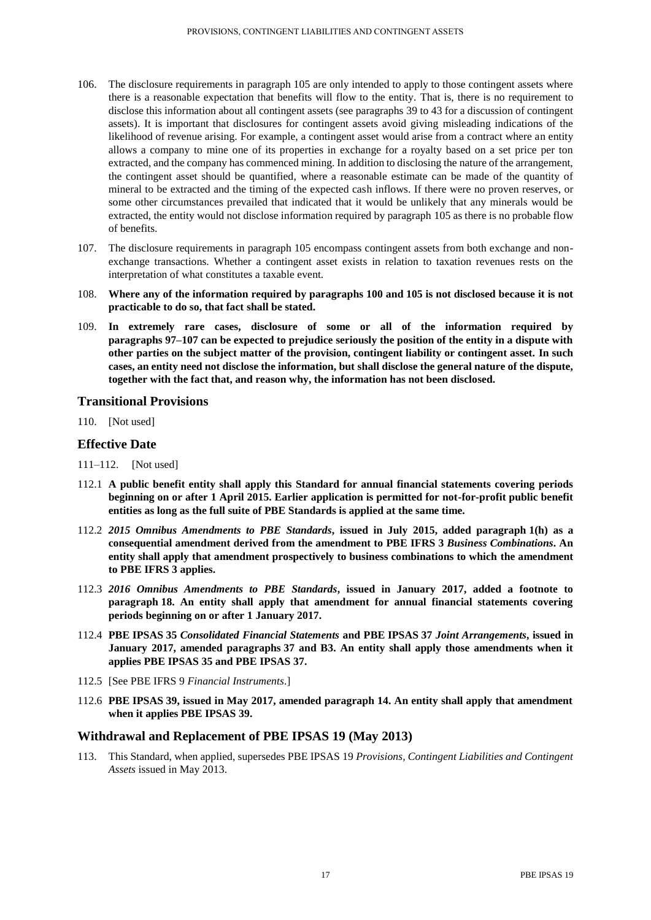- 106. The disclosure requirements in paragraph 105 are only intended to apply to those contingent assets where there is a reasonable expectation that benefits will flow to the entity. That is, there is no requirement to disclose this information about all contingent assets (see paragraphs 39 to 43 for a discussion of contingent assets). It is important that disclosures for contingent assets avoid giving misleading indications of the likelihood of revenue arising. For example, a contingent asset would arise from a contract where an entity allows a company to mine one of its properties in exchange for a royalty based on a set price per ton extracted, and the company has commenced mining. In addition to disclosing the nature of the arrangement, the contingent asset should be quantified, where a reasonable estimate can be made of the quantity of mineral to be extracted and the timing of the expected cash inflows. If there were no proven reserves, or some other circumstances prevailed that indicated that it would be unlikely that any minerals would be extracted, the entity would not disclose information required by paragraph 105 as there is no probable flow of benefits.
- 107. The disclosure requirements in paragraph 105 encompass contingent assets from both exchange and nonexchange transactions. Whether a contingent asset exists in relation to taxation revenues rests on the interpretation of what constitutes a taxable event.
- 108. **Where any of the information required by paragraphs 100 and 105 is not disclosed because it is not practicable to do so, that fact shall be stated.**
- 109. **In extremely rare cases, disclosure of some or all of the information required by paragraphs 97–107 can be expected to prejudice seriously the position of the entity in a dispute with other parties on the subject matter of the provision, contingent liability or contingent asset. In such cases, an entity need not disclose the information, but shall disclose the general nature of the dispute, together with the fact that, and reason why, the information has not been disclosed.**

# **Transitional Provisions**

110. [Not used]

# **Effective Date**

- 111–112. [Not used]
- 112.1 **A public benefit entity shall apply this Standard for annual financial statements covering periods beginning on or after 1 April 2015. Earlier application is permitted for not-for-profit public benefit entities as long as the full suite of PBE Standards is applied at the same time.**
- 112.2 *2015 Omnibus Amendments to PBE Standards***, issued in July 2015, added paragraph 1(h) as a consequential amendment derived from the amendment to PBE IFRS 3** *Business Combinations***. An entity shall apply that amendment prospectively to business combinations to which the amendment to PBE IFRS 3 applies.**
- 112.3 *2016 Omnibus Amendments to PBE Standards***, issued in January 2017, added a footnote to paragraph 18. An entity shall apply that amendment for annual financial statements covering periods beginning on or after 1 January 2017.**
- 112.4 **PBE IPSAS 35** *Consolidated Financial Statements* **and PBE IPSAS 37** *Joint Arrangements***, issued in January 2017, amended paragraphs 37 and B3. An entity shall apply those amendments when it applies PBE IPSAS 35 and PBE IPSAS 37.**
- 112.5 [See PBE IFRS 9 *Financial Instruments*.]
- 112.6 **PBE IPSAS 39, issued in May 2017, amended paragraph 14. An entity shall apply that amendment when it applies PBE IPSAS 39.**

# **Withdrawal and Replacement of PBE IPSAS 19 (May 2013)**

113. This Standard, when applied, supersedes PBE IPSAS 19 *Provisions, Contingent Liabilities and Contingent Assets* issued in May 2013.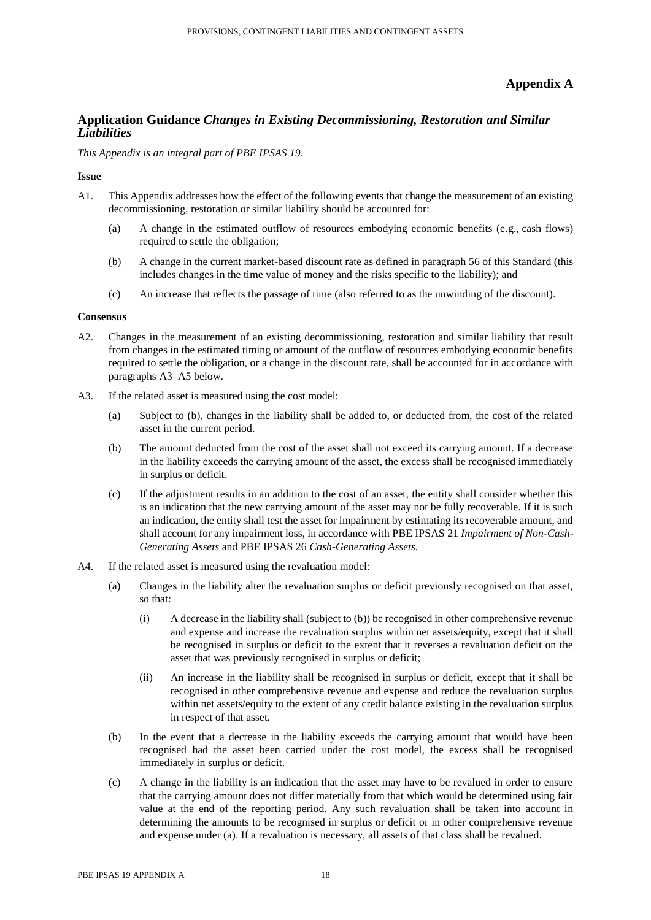# **Appendix A**

# **Application Guidance** *Changes in Existing Decommissioning, Restoration and Similar Liabilities*

*This Appendix is an integral part of PBE IPSAS 19.*

#### **Issue**

- A1. This Appendix addresses how the effect of the following events that change the measurement of an existing decommissioning, restoration or similar liability should be accounted for:
	- (a) A change in the estimated outflow of resources embodying economic benefits (e.g., cash flows) required to settle the obligation;
	- (b) A change in the current market-based discount rate as defined in paragraph 56 of this Standard (this includes changes in the time value of money and the risks specific to the liability); and
	- (c) An increase that reflects the passage of time (also referred to as the unwinding of the discount).

# **Consensus**

- A2. Changes in the measurement of an existing decommissioning, restoration and similar liability that result from changes in the estimated timing or amount of the outflow of resources embodying economic benefits required to settle the obligation, or a change in the discount rate, shall be accounted for in accordance with paragraphs A3–A5 below.
- A3. If the related asset is measured using the cost model:
	- (a) Subject to (b), changes in the liability shall be added to, or deducted from, the cost of the related asset in the current period.
	- (b) The amount deducted from the cost of the asset shall not exceed its carrying amount. If a decrease in the liability exceeds the carrying amount of the asset, the excess shall be recognised immediately in surplus or deficit.
	- (c) If the adjustment results in an addition to the cost of an asset, the entity shall consider whether this is an indication that the new carrying amount of the asset may not be fully recoverable. If it is such an indication, the entity shall test the asset for impairment by estimating its recoverable amount, and shall account for any impairment loss, in accordance with PBE IPSAS 21 *Impairment of Non-Cash-Generating Assets* and PBE IPSAS 26 *Cash-Generating Assets.*
- A4. If the related asset is measured using the revaluation model:
	- (a) Changes in the liability alter the revaluation surplus or deficit previously recognised on that asset, so that:
		- (i) A decrease in the liability shall (subject to (b)) be recognised in other comprehensive revenue and expense and increase the revaluation surplus within net assets/equity, except that it shall be recognised in surplus or deficit to the extent that it reverses a revaluation deficit on the asset that was previously recognised in surplus or deficit;
		- (ii) An increase in the liability shall be recognised in surplus or deficit, except that it shall be recognised in other comprehensive revenue and expense and reduce the revaluation surplus within net assets/equity to the extent of any credit balance existing in the revaluation surplus in respect of that asset.
	- (b) In the event that a decrease in the liability exceeds the carrying amount that would have been recognised had the asset been carried under the cost model, the excess shall be recognised immediately in surplus or deficit.
	- (c) A change in the liability is an indication that the asset may have to be revalued in order to ensure that the carrying amount does not differ materially from that which would be determined using fair value at the end of the reporting period. Any such revaluation shall be taken into account in determining the amounts to be recognised in surplus or deficit or in other comprehensive revenue and expense under (a). If a revaluation is necessary, all assets of that class shall be revalued.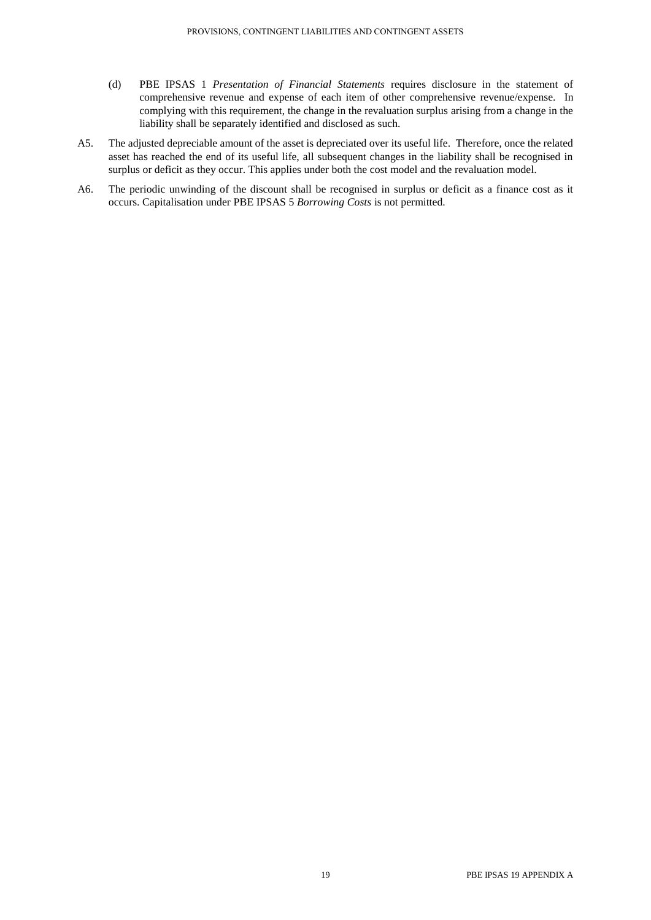- (d) PBE IPSAS 1 *Presentation of Financial Statements* requires disclosure in the statement of comprehensive revenue and expense of each item of other comprehensive revenue/expense. In complying with this requirement, the change in the revaluation surplus arising from a change in the liability shall be separately identified and disclosed as such.
- A5. The adjusted depreciable amount of the asset is depreciated over its useful life. Therefore, once the related asset has reached the end of its useful life, all subsequent changes in the liability shall be recognised in surplus or deficit as they occur. This applies under both the cost model and the revaluation model.
- A6. The periodic unwinding of the discount shall be recognised in surplus or deficit as a finance cost as it occurs. Capitalisation under PBE IPSAS 5 *Borrowing Costs* is not permitted.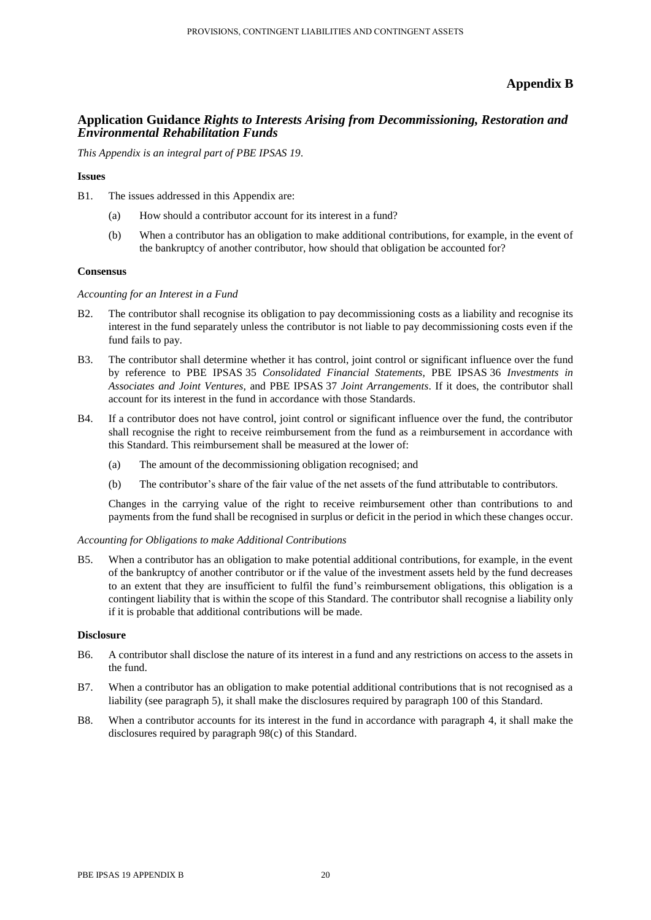# **Appendix B**

# **Application Guidance** *Rights to Interests Arising from Decommissioning, Restoration and Environmental Rehabilitation Funds*

*This Appendix is an integral part of PBE IPSAS 19.*

#### **Issues**

B1. The issues addressed in this Appendix are:

- (a) How should a contributor account for its interest in a fund?
- (b) When a contributor has an obligation to make additional contributions, for example, in the event of the bankruptcy of another contributor, how should that obligation be accounted for?

#### **Consensus**

#### *Accounting for an Interest in a Fund*

- B2. The contributor shall recognise its obligation to pay decommissioning costs as a liability and recognise its interest in the fund separately unless the contributor is not liable to pay decommissioning costs even if the fund fails to pay.
- B3. The contributor shall determine whether it has control, joint control or significant influence over the fund by reference to PBE IPSAS 35 *Consolidated Financial Statements,* PBE IPSAS 36 *Investments in Associates and Joint Ventures,* and PBE IPSAS 37 *Joint Arrangements*. If it does, the contributor shall account for its interest in the fund in accordance with those Standards.
- B4. If a contributor does not have control, joint control or significant influence over the fund, the contributor shall recognise the right to receive reimbursement from the fund as a reimbursement in accordance with this Standard. This reimbursement shall be measured at the lower of:
	- (a) The amount of the decommissioning obligation recognised; and
	- (b) The contributor's share of the fair value of the net assets of the fund attributable to contributors.

Changes in the carrying value of the right to receive reimbursement other than contributions to and payments from the fund shall be recognised in surplus or deficit in the period in which these changes occur.

#### *Accounting for Obligations to make Additional Contributions*

B5. When a contributor has an obligation to make potential additional contributions, for example, in the event of the bankruptcy of another contributor or if the value of the investment assets held by the fund decreases to an extent that they are insufficient to fulfil the fund's reimbursement obligations, this obligation is a contingent liability that is within the scope of this Standard. The contributor shall recognise a liability only if it is probable that additional contributions will be made.

#### **Disclosure**

- B6. A contributor shall disclose the nature of its interest in a fund and any restrictions on access to the assets in the fund.
- B7. When a contributor has an obligation to make potential additional contributions that is not recognised as a liability (see paragraph 5), it shall make the disclosures required by paragraph 100 of this Standard.
- B8. When a contributor accounts for its interest in the fund in accordance with paragraph 4, it shall make the disclosures required by paragraph 98(c) of this Standard.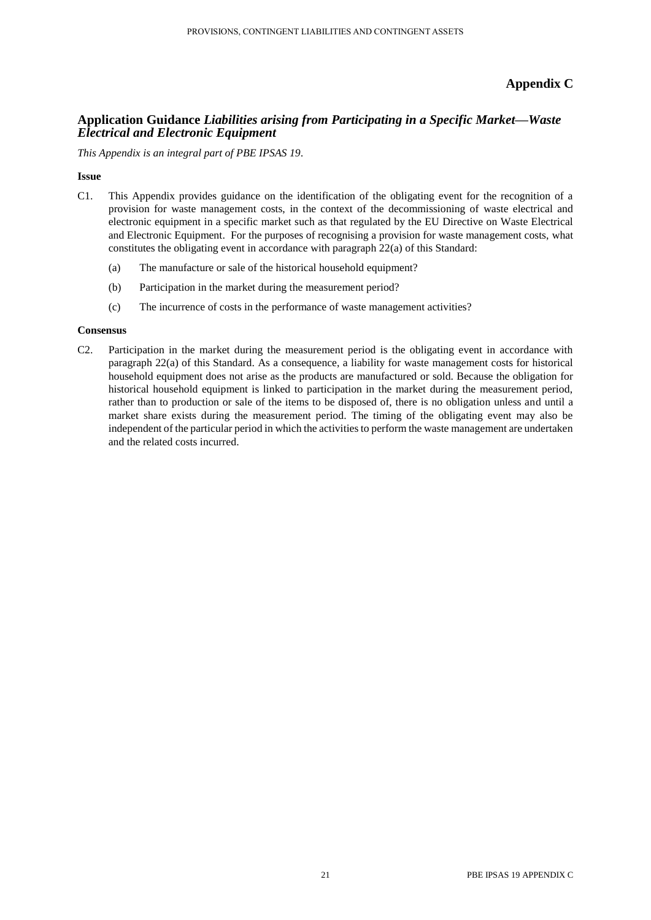# **Appendix C**

# **Application Guidance** *Liabilities arising from Participating in a Specific Market—Waste Electrical and Electronic Equipment*

*This Appendix is an integral part of PBE IPSAS 19.*

# **Issue**

- C1. This Appendix provides guidance on the identification of the obligating event for the recognition of a provision for waste management costs, in the context of the decommissioning of waste electrical and electronic equipment in a specific market such as that regulated by the EU Directive on Waste Electrical and Electronic Equipment. For the purposes of recognising a provision for waste management costs, what constitutes the obligating event in accordance with paragraph 22(a) of this Standard:
	- (a) The manufacture or sale of the historical household equipment?
	- (b) Participation in the market during the measurement period?
	- (c) The incurrence of costs in the performance of waste management activities?

#### **Consensus**

C2. Participation in the market during the measurement period is the obligating event in accordance with paragraph 22(a) of this Standard. As a consequence, a liability for waste management costs for historical household equipment does not arise as the products are manufactured or sold. Because the obligation for historical household equipment is linked to participation in the market during the measurement period, rather than to production or sale of the items to be disposed of, there is no obligation unless and until a market share exists during the measurement period. The timing of the obligating event may also be independent of the particular period in which the activities to perform the waste management are undertaken and the related costs incurred.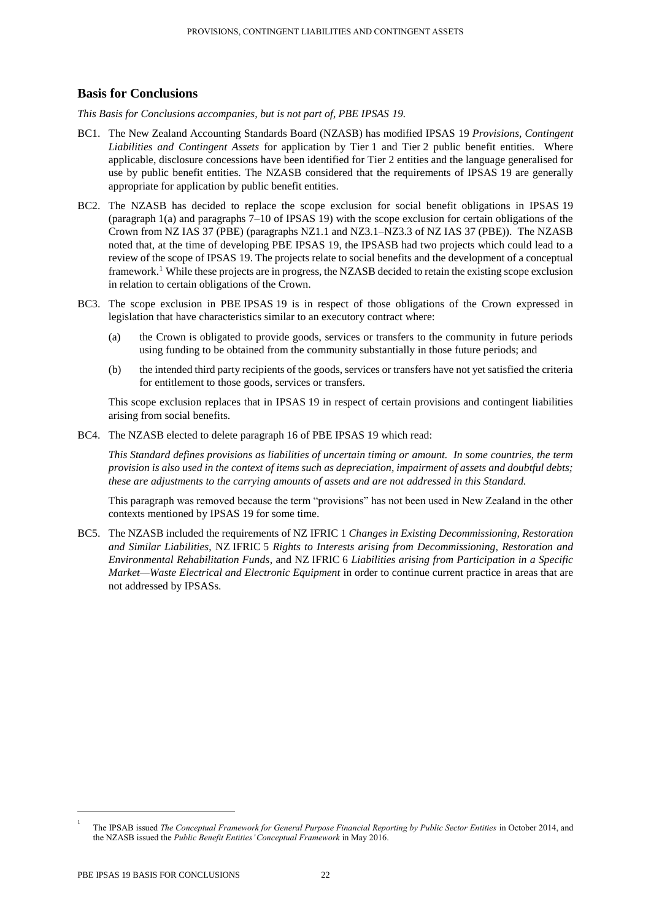# **Basis for Conclusions**

*This Basis for Conclusions accompanies, but is not part of, PBE IPSAS 19.* 

- BC1. The New Zealand Accounting Standards Board (NZASB) has modified IPSAS 19 *Provisions, Contingent Liabilities and Contingent Assets* for application by Tier 1 and Tier 2 public benefit entities. Where applicable, disclosure concessions have been identified for Tier 2 entities and the language generalised for use by public benefit entities. The NZASB considered that the requirements of IPSAS 19 are generally appropriate for application by public benefit entities.
- BC2. The NZASB has decided to replace the scope exclusion for social benefit obligations in IPSAS 19 (paragraph 1(a) and paragraphs 7–10 of IPSAS 19) with the scope exclusion for certain obligations of the Crown from NZ IAS 37 (PBE) (paragraphs NZ1.1 and NZ3.1–NZ3.3 of NZ IAS 37 (PBE)). The NZASB noted that, at the time of developing PBE IPSAS 19, the IPSASB had two projects which could lead to a review of the scope of IPSAS 19. The projects relate to social benefits and the development of a conceptual framework.<sup>1</sup> While these projects are in progress, the NZASB decided to retain the existing scope exclusion in relation to certain obligations of the Crown.
- BC3. The scope exclusion in PBE IPSAS 19 is in respect of those obligations of the Crown expressed in legislation that have characteristics similar to an executory contract where:
	- (a) the Crown is obligated to provide goods, services or transfers to the community in future periods using funding to be obtained from the community substantially in those future periods; and
	- (b) the intended third party recipients of the goods, services or transfers have not yet satisfied the criteria for entitlement to those goods, services or transfers.

This scope exclusion replaces that in IPSAS 19 in respect of certain provisions and contingent liabilities arising from social benefits.

BC4. The NZASB elected to delete paragraph 16 of PBE IPSAS 19 which read:

*This Standard defines provisions as liabilities of uncertain timing or amount. In some countries, the term provision is also used in the context of items such as depreciation, impairment of assets and doubtful debts; these are adjustments to the carrying amounts of assets and are not addressed in this Standard.*

This paragraph was removed because the term "provisions" has not been used in New Zealand in the other contexts mentioned by IPSAS 19 for some time.

BC5. The NZASB included the requirements of NZ IFRIC 1 *Changes in Existing Decommissioning, Restoration and Similar Liabilities*, NZ IFRIC 5 *Rights to Interests arising from Decommissioning, Restoration and Environmental Rehabilitation Funds*, and NZ IFRIC 6 *Liabilities arising from Participation in a Specific Market—Waste Electrical and Electronic Equipment* in order to continue current practice in areas that are not addressed by IPSASs.

 $\overline{\phantom{a}}$ 

<sup>1</sup> The IPSAB issued *The Conceptual Framework for General Purpose Financial Reporting by Public Sector Entities* in October 2014, and the NZASB issued the *Public Benefit Entities' Conceptual Framework* in May 2016.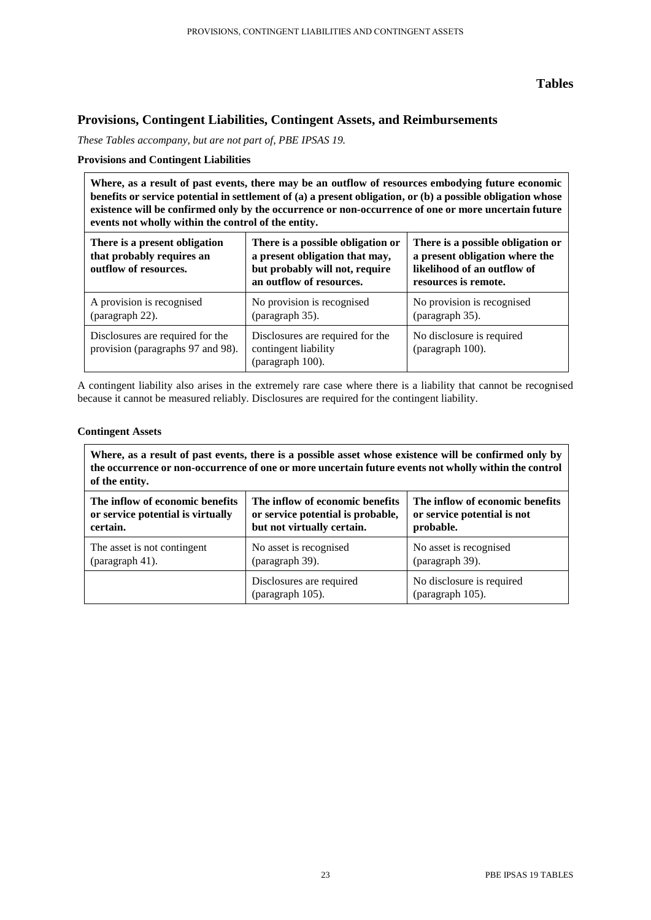# **Tables**

# **Provisions, Contingent Liabilities, Contingent Assets, and Reimbursements**

*These Tables accompany, but are not part of, PBE IPSAS 19.*

# **Provisions and Contingent Liabilities**

**Where, as a result of past events, there may be an outflow of resources embodying future economic benefits or service potential in settlement of (a) a present obligation, or (b) a possible obligation whose existence will be confirmed only by the occurrence or non-occurrence of one or more uncertain future events not wholly within the control of the entity.**

| There is a present obligation<br>that probably requires an<br>outflow of resources. | There is a possible obligation or<br>a present obligation that may,<br>but probably will not, require<br>an outflow of resources. | There is a possible obligation or<br>a present obligation where the<br>likelihood of an outflow of<br>resources is remote. |  |
|-------------------------------------------------------------------------------------|-----------------------------------------------------------------------------------------------------------------------------------|----------------------------------------------------------------------------------------------------------------------------|--|
| A provision is recognised<br>(paragraph 22).                                        | No provision is recognised<br>(paragraph 35).                                                                                     | No provision is recognised<br>(paragraph 35).                                                                              |  |
| Disclosures are required for the<br>provision (paragraphs 97 and 98).               | Disclosures are required for the<br>contingent liability<br>(paragraph 100).                                                      | No disclosure is required<br>(paragraph 100).                                                                              |  |

A contingent liability also arises in the extremely rare case where there is a liability that cannot be recognised because it cannot be measured reliably. Disclosures are required for the contingent liability.

# **Contingent Assets**

| Where, as a result of past events, there is a possible asset whose existence will be confirmed only by<br>the occurrence or non-occurrence of one or more uncertain future events not wholly within the control<br>of the entity. |                                              |                                               |
|-----------------------------------------------------------------------------------------------------------------------------------------------------------------------------------------------------------------------------------|----------------------------------------------|-----------------------------------------------|
| The inflow of economic benefits                                                                                                                                                                                                   | The inflow of economic benefits              | The inflow of economic benefits               |
| or service potential is virtually                                                                                                                                                                                                 | or service potential is probable,            | or service potential is not                   |
| certain.                                                                                                                                                                                                                          | but not virtually certain.                   | probable.                                     |
| The asset is not contingent                                                                                                                                                                                                       | No asset is recognised                       | No asset is recognised                        |
| (paragraph 41).                                                                                                                                                                                                                   | (paragraph 39).                              | (paragraph 39).                               |
|                                                                                                                                                                                                                                   | Disclosures are required<br>(paragraph 105). | No disclosure is required<br>(paragraph 105). |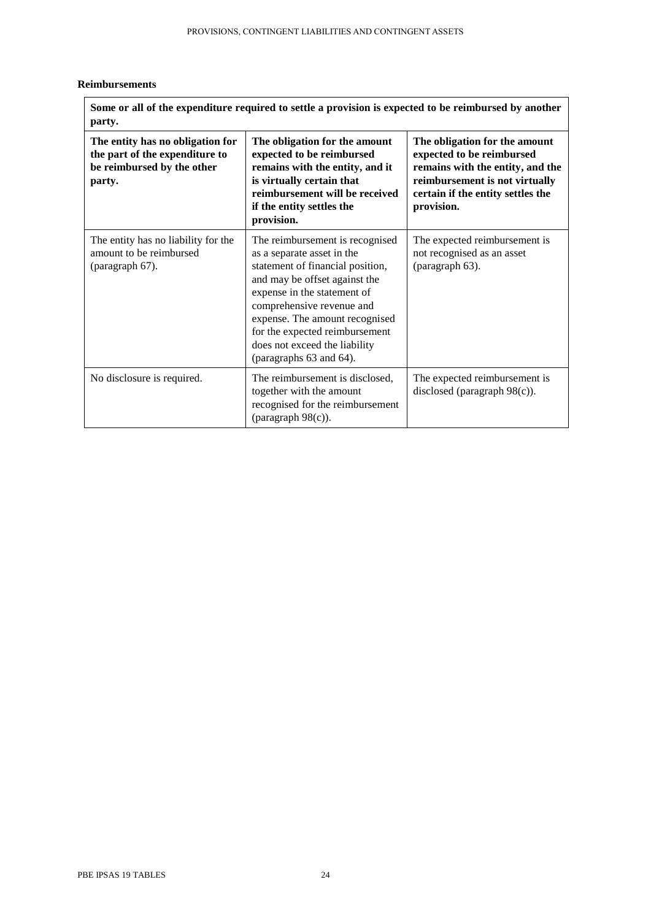# **Reimbursements**

| Some or all of the expenditure required to settle a provision is expected to be reimbursed by another<br>party. |                                                                                                                                                                                                                                                                                                                                |                                                                                                                                                                                     |  |
|-----------------------------------------------------------------------------------------------------------------|--------------------------------------------------------------------------------------------------------------------------------------------------------------------------------------------------------------------------------------------------------------------------------------------------------------------------------|-------------------------------------------------------------------------------------------------------------------------------------------------------------------------------------|--|
| The entity has no obligation for<br>the part of the expenditure to<br>be reimbursed by the other<br>party.      | The obligation for the amount<br>expected to be reimbursed<br>remains with the entity, and it<br>is virtually certain that<br>reimbursement will be received<br>if the entity settles the<br>provision.                                                                                                                        | The obligation for the amount<br>expected to be reimbursed<br>remains with the entity, and the<br>reimbursement is not virtually<br>certain if the entity settles the<br>provision. |  |
| The entity has no liability for the<br>amount to be reimbursed<br>(paragraph 67).                               | The reimbursement is recognised<br>as a separate asset in the<br>statement of financial position,<br>and may be offset against the<br>expense in the statement of<br>comprehensive revenue and<br>expense. The amount recognised<br>for the expected reimbursement<br>does not exceed the liability<br>(paragraphs 63 and 64). | The expected reimbursement is<br>not recognised as an asset<br>(paragraph 63).                                                                                                      |  |
| No disclosure is required.                                                                                      | The reimbursement is disclosed,<br>together with the amount<br>recognised for the reimbursement<br>(paragraph $98(c)$ ).                                                                                                                                                                                                       |                                                                                                                                                                                     |  |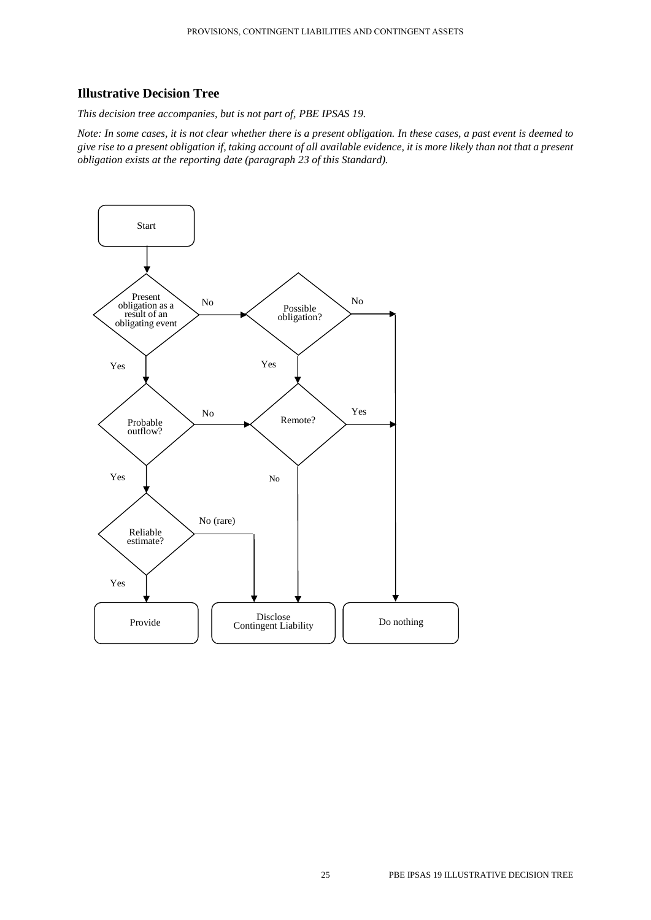# **Illustrative Decision Tree**

*This decision tree accompanies, but is not part of, PBE IPSAS 19.*

*Note: In some cases, it is not clear whether there is a present obligation. In these cases, a past event is deemed to give rise to a present obligation if, taking account of all available evidence, it is more likely than not that a present obligation exists at the reporting date (paragraph 23 of this Standard).*

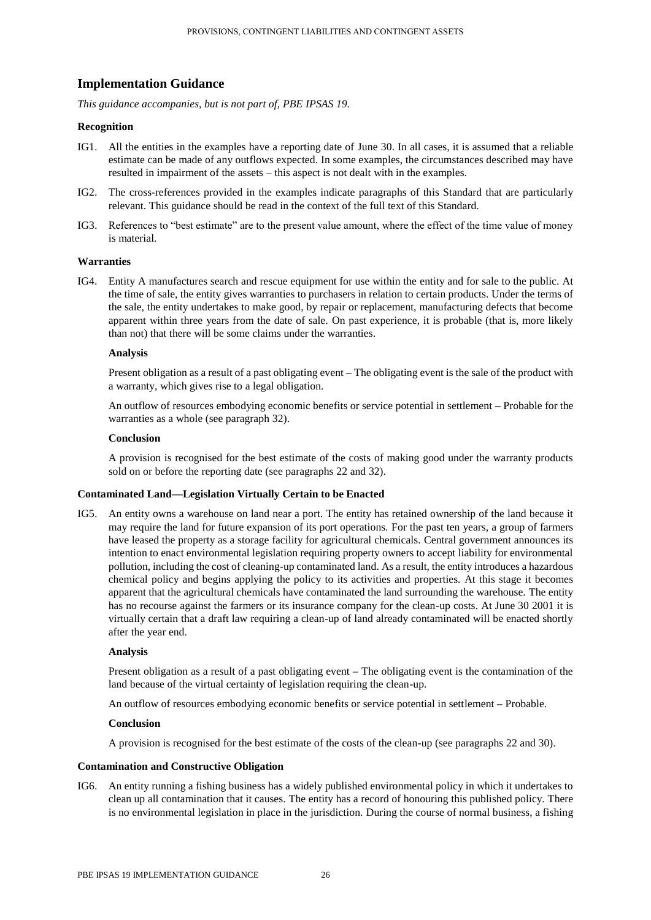# **Implementation Guidance**

*This guidance accompanies, but is not part of, PBE IPSAS 19.*

#### **Recognition**

- IG1. All the entities in the examples have a reporting date of June 30. In all cases, it is assumed that a reliable estimate can be made of any outflows expected. In some examples, the circumstances described may have resulted in impairment of the assets – this aspect is not dealt with in the examples.
- IG2. The cross-references provided in the examples indicate paragraphs of this Standard that are particularly relevant. This guidance should be read in the context of the full text of this Standard.
- IG3. References to "best estimate" are to the present value amount, where the effect of the time value of money is material.

#### **Warranties**

IG4. Entity A manufactures search and rescue equipment for use within the entity and for sale to the public. At the time of sale, the entity gives warranties to purchasers in relation to certain products. Under the terms of the sale, the entity undertakes to make good, by repair or replacement, manufacturing defects that become apparent within three years from the date of sale. On past experience, it is probable (that is, more likely than not) that there will be some claims under the warranties.

#### **Analysis**

Present obligation as a result of a past obligating event **–** The obligating event is the sale of the product with a warranty, which gives rise to a legal obligation.

An outflow of resources embodying economic benefits or service potential in settlement **–** Probable for the warranties as a whole (see paragraph 32).

#### **Conclusion**

A provision is recognised for the best estimate of the costs of making good under the warranty products sold on or before the reporting date (see paragraphs 22 and 32).

# **Contaminated Land—Legislation Virtually Certain to be Enacted**

IG5. An entity owns a warehouse on land near a port. The entity has retained ownership of the land because it may require the land for future expansion of its port operations. For the past ten years, a group of farmers have leased the property as a storage facility for agricultural chemicals. Central government announces its intention to enact environmental legislation requiring property owners to accept liability for environmental pollution, including the cost of cleaning-up contaminated land. As a result, the entity introduces a hazardous chemical policy and begins applying the policy to its activities and properties. At this stage it becomes apparent that the agricultural chemicals have contaminated the land surrounding the warehouse. The entity has no recourse against the farmers or its insurance company for the clean-up costs. At June 30 2001 it is virtually certain that a draft law requiring a clean-up of land already contaminated will be enacted shortly after the year end.

# **Analysis**

Present obligation as a result of a past obligating event **–** The obligating event is the contamination of the land because of the virtual certainty of legislation requiring the clean-up.

An outflow of resources embodying economic benefits or service potential in settlement **–** Probable.

#### **Conclusion**

A provision is recognised for the best estimate of the costs of the clean-up (see paragraphs 22 and 30).

#### **Contamination and Constructive Obligation**

IG6. An entity running a fishing business has a widely published environmental policy in which it undertakes to clean up all contamination that it causes. The entity has a record of honouring this published policy. There is no environmental legislation in place in the jurisdiction. During the course of normal business, a fishing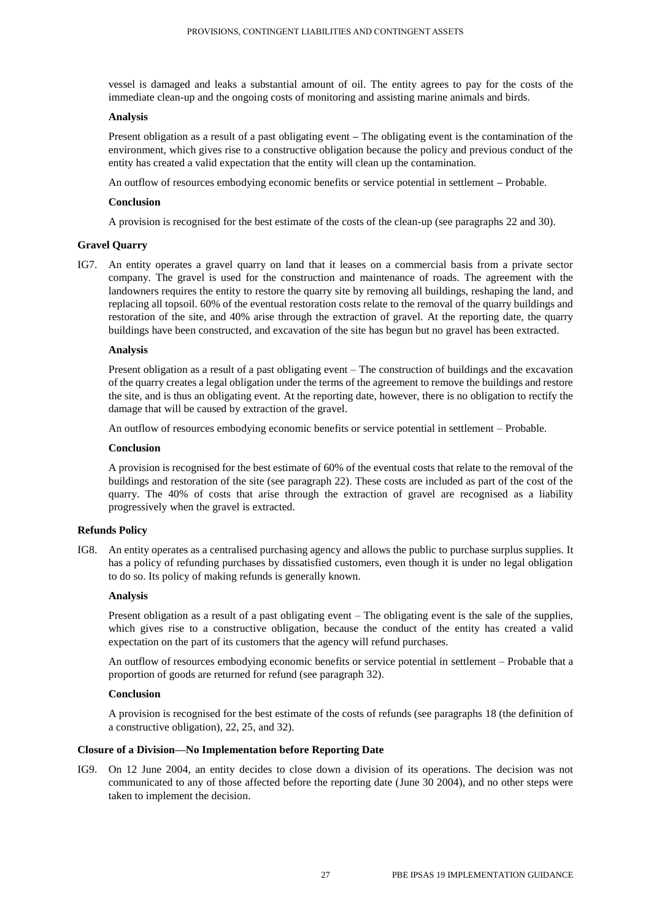vessel is damaged and leaks a substantial amount of oil. The entity agrees to pay for the costs of the immediate clean-up and the ongoing costs of monitoring and assisting marine animals and birds.

# **Analysis**

Present obligation as a result of a past obligating event **–** The obligating event is the contamination of the environment, which gives rise to a constructive obligation because the policy and previous conduct of the entity has created a valid expectation that the entity will clean up the contamination.

An outflow of resources embodying economic benefits or service potential in settlement **–** Probable.

# **Conclusion**

A provision is recognised for the best estimate of the costs of the clean-up (see paragraphs 22 and 30).

# **Gravel Quarry**

IG7. An entity operates a gravel quarry on land that it leases on a commercial basis from a private sector company. The gravel is used for the construction and maintenance of roads. The agreement with the landowners requires the entity to restore the quarry site by removing all buildings, reshaping the land, and replacing all topsoil. 60% of the eventual restoration costs relate to the removal of the quarry buildings and restoration of the site, and 40% arise through the extraction of gravel. At the reporting date, the quarry buildings have been constructed, and excavation of the site has begun but no gravel has been extracted.

#### **Analysis**

Present obligation as a result of a past obligating event – The construction of buildings and the excavation of the quarry creates a legal obligation under the terms of the agreement to remove the buildings and restore the site, and is thus an obligating event. At the reporting date, however, there is no obligation to rectify the damage that will be caused by extraction of the gravel.

An outflow of resources embodying economic benefits or service potential in settlement – Probable.

## **Conclusion**

A provision is recognised for the best estimate of 60% of the eventual costs that relate to the removal of the buildings and restoration of the site (see paragraph 22). These costs are included as part of the cost of the quarry. The 40% of costs that arise through the extraction of gravel are recognised as a liability progressively when the gravel is extracted.

#### **Refunds Policy**

IG8. An entity operates as a centralised purchasing agency and allows the public to purchase surplus supplies. It has a policy of refunding purchases by dissatisfied customers, even though it is under no legal obligation to do so. Its policy of making refunds is generally known.

#### **Analysis**

Present obligation as a result of a past obligating event – The obligating event is the sale of the supplies, which gives rise to a constructive obligation, because the conduct of the entity has created a valid expectation on the part of its customers that the agency will refund purchases.

An outflow of resources embodying economic benefits or service potential in settlement – Probable that a proportion of goods are returned for refund (see paragraph 32).

#### **Conclusion**

A provision is recognised for the best estimate of the costs of refunds (see paragraphs 18 (the definition of a constructive obligation), 22, 25, and 32).

#### **Closure of a Division—No Implementation before Reporting Date**

IG9. On 12 June 2004, an entity decides to close down a division of its operations. The decision was not communicated to any of those affected before the reporting date (June 30 2004), and no other steps were taken to implement the decision.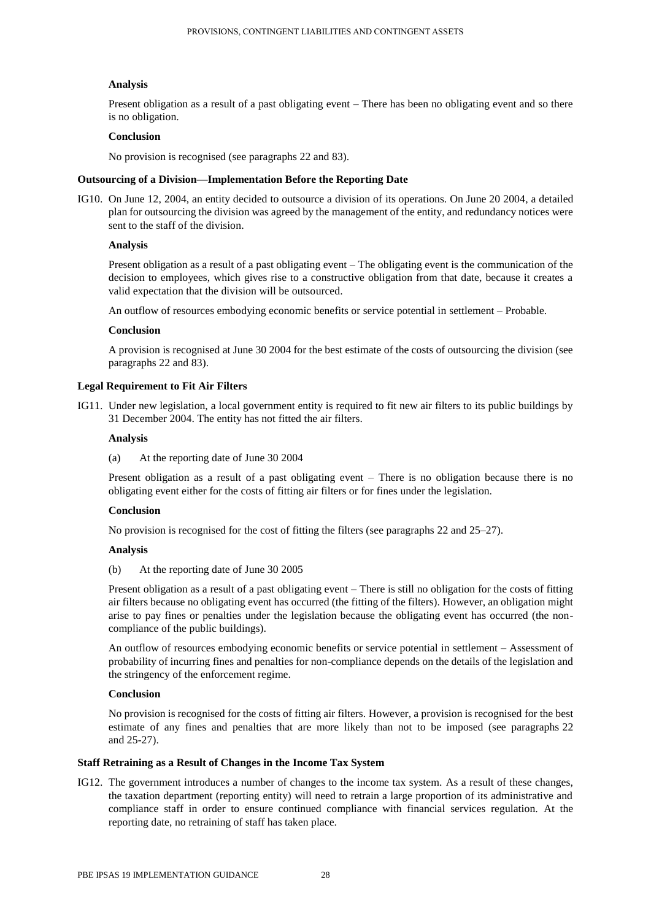# **Analysis**

Present obligation as a result of a past obligating event – There has been no obligating event and so there is no obligation.

# **Conclusion**

No provision is recognised (see paragraphs 22 and 83).

# **Outsourcing of a Division—Implementation Before the Reporting Date**

IG10. On June 12, 2004, an entity decided to outsource a division of its operations. On June 20 2004, a detailed plan for outsourcing the division was agreed by the management of the entity, and redundancy notices were sent to the staff of the division.

# **Analysis**

Present obligation as a result of a past obligating event – The obligating event is the communication of the decision to employees, which gives rise to a constructive obligation from that date, because it creates a valid expectation that the division will be outsourced.

An outflow of resources embodying economic benefits or service potential in settlement – Probable.

# **Conclusion**

A provision is recognised at June 30 2004 for the best estimate of the costs of outsourcing the division (see paragraphs 22 and 83).

# **Legal Requirement to Fit Air Filters**

IG11. Under new legislation, a local government entity is required to fit new air filters to its public buildings by 31 December 2004. The entity has not fitted the air filters.

# **Analysis**

(a) At the reporting date of June 30 2004

Present obligation as a result of a past obligating event – There is no obligation because there is no obligating event either for the costs of fitting air filters or for fines under the legislation.

# **Conclusion**

No provision is recognised for the cost of fitting the filters (see paragraphs 22 and 25–27).

#### **Analysis**

(b) At the reporting date of June 30 2005

Present obligation as a result of a past obligating event – There is still no obligation for the costs of fitting air filters because no obligating event has occurred (the fitting of the filters). However, an obligation might arise to pay fines or penalties under the legislation because the obligating event has occurred (the noncompliance of the public buildings).

An outflow of resources embodying economic benefits or service potential in settlement – Assessment of probability of incurring fines and penalties for non-compliance depends on the details of the legislation and the stringency of the enforcement regime.

# **Conclusion**

No provision is recognised for the costs of fitting air filters. However, a provision is recognised for the best estimate of any fines and penalties that are more likely than not to be imposed (see paragraphs 22 and 25-27).

#### **Staff Retraining as a Result of Changes in the Income Tax System**

IG12. The government introduces a number of changes to the income tax system. As a result of these changes, the taxation department (reporting entity) will need to retrain a large proportion of its administrative and compliance staff in order to ensure continued compliance with financial services regulation. At the reporting date, no retraining of staff has taken place.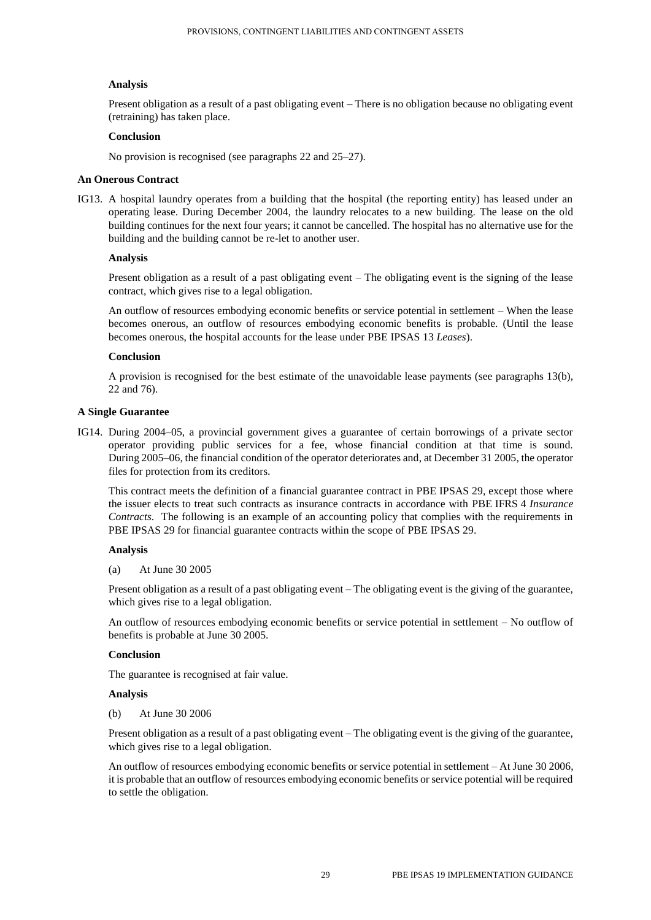# **Analysis**

Present obligation as a result of a past obligating event – There is no obligation because no obligating event (retraining) has taken place.

# **Conclusion**

No provision is recognised (see paragraphs 22 and 25–27).

# **An Onerous Contract**

IG13. A hospital laundry operates from a building that the hospital (the reporting entity) has leased under an operating lease. During December 2004, the laundry relocates to a new building. The lease on the old building continues for the next four years; it cannot be cancelled. The hospital has no alternative use for the building and the building cannot be re-let to another user.

# **Analysis**

Present obligation as a result of a past obligating event – The obligating event is the signing of the lease contract, which gives rise to a legal obligation.

An outflow of resources embodying economic benefits or service potential in settlement – When the lease becomes onerous, an outflow of resources embodying economic benefits is probable. (Until the lease becomes onerous, the hospital accounts for the lease under PBE IPSAS 13 *Leases*).

# **Conclusion**

A provision is recognised for the best estimate of the unavoidable lease payments (see paragraphs 13(b), 22 and 76).

# **A Single Guarantee**

IG14. During 2004–05, a provincial government gives a guarantee of certain borrowings of a private sector operator providing public services for a fee, whose financial condition at that time is sound. During 2005–06, the financial condition of the operator deteriorates and, at December 31 2005, the operator files for protection from its creditors.

This contract meets the definition of a financial guarantee contract in PBE IPSAS 29, except those where the issuer elects to treat such contracts as insurance contracts in accordance with PBE IFRS 4 *Insurance Contracts*. The following is an example of an accounting policy that complies with the requirements in PBE IPSAS 29 for financial guarantee contracts within the scope of PBE IPSAS 29.

#### **Analysis**

(a) At June 30 2005

Present obligation as a result of a past obligating event – The obligating event is the giving of the guarantee, which gives rise to a legal obligation.

An outflow of resources embodying economic benefits or service potential in settlement – No outflow of benefits is probable at June 30 2005.

#### **Conclusion**

The guarantee is recognised at fair value.

#### **Analysis**

(b) At June 30 2006

Present obligation as a result of a past obligating event – The obligating event is the giving of the guarantee, which gives rise to a legal obligation.

An outflow of resources embodying economic benefits or service potential in settlement – At June 30 2006, it is probable that an outflow of resources embodying economic benefits or service potential will be required to settle the obligation.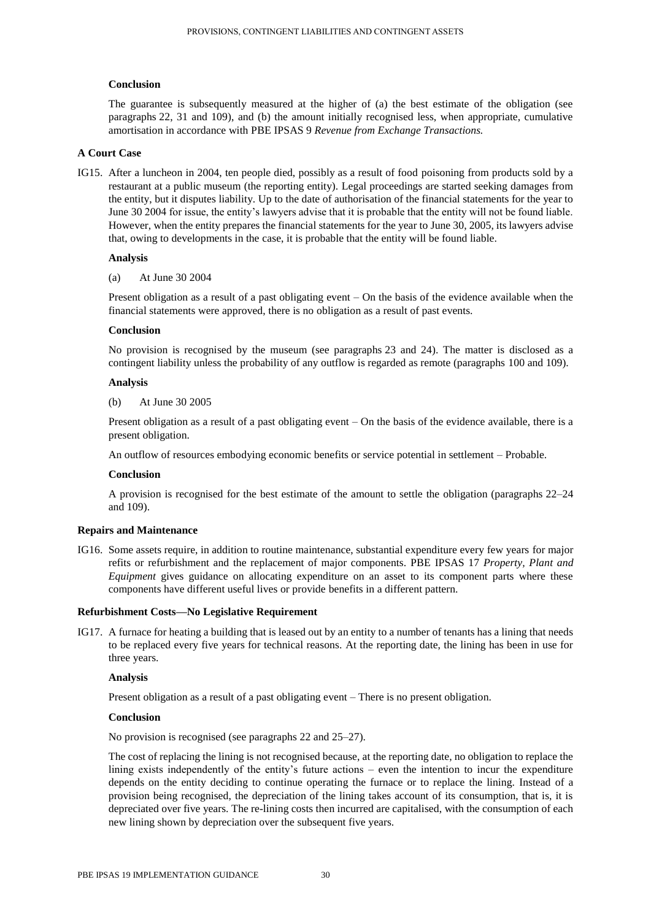# **Conclusion**

The guarantee is subsequently measured at the higher of (a) the best estimate of the obligation (see paragraphs 22, 31 and 109), and (b) the amount initially recognised less, when appropriate, cumulative amortisation in accordance with PBE IPSAS 9 *Revenue from Exchange Transactions.*

# **A Court Case**

IG15. After a luncheon in 2004, ten people died, possibly as a result of food poisoning from products sold by a restaurant at a public museum (the reporting entity). Legal proceedings are started seeking damages from the entity, but it disputes liability. Up to the date of authorisation of the financial statements for the year to June 30 2004 for issue, the entity's lawyers advise that it is probable that the entity will not be found liable. However, when the entity prepares the financial statements for the year to June 30, 2005, its lawyers advise that, owing to developments in the case, it is probable that the entity will be found liable.

#### **Analysis**

(a) At June 30 2004

Present obligation as a result of a past obligating event – On the basis of the evidence available when the financial statements were approved, there is no obligation as a result of past events.

# **Conclusion**

No provision is recognised by the museum (see paragraphs 23 and 24). The matter is disclosed as a contingent liability unless the probability of any outflow is regarded as remote (paragraphs 100 and 109).

#### **Analysis**

(b) At June 30 2005

Present obligation as a result of a past obligating event – On the basis of the evidence available, there is a present obligation.

An outflow of resources embodying economic benefits or service potential in settlement – Probable.

#### **Conclusion**

A provision is recognised for the best estimate of the amount to settle the obligation (paragraphs 22–24 and 109).

# **Repairs and Maintenance**

IG16. Some assets require, in addition to routine maintenance, substantial expenditure every few years for major refits or refurbishment and the replacement of major components. PBE IPSAS 17 *Property, Plant and Equipment* gives guidance on allocating expenditure on an asset to its component parts where these components have different useful lives or provide benefits in a different pattern.

#### **Refurbishment Costs—No Legislative Requirement**

IG17. A furnace for heating a building that is leased out by an entity to a number of tenants has a lining that needs to be replaced every five years for technical reasons. At the reporting date, the lining has been in use for three years.

#### **Analysis**

Present obligation as a result of a past obligating event – There is no present obligation.

#### **Conclusion**

No provision is recognised (see paragraphs 22 and 25–27).

The cost of replacing the lining is not recognised because, at the reporting date, no obligation to replace the lining exists independently of the entity's future actions – even the intention to incur the expenditure depends on the entity deciding to continue operating the furnace or to replace the lining. Instead of a provision being recognised, the depreciation of the lining takes account of its consumption, that is, it is depreciated over five years. The re-lining costs then incurred are capitalised, with the consumption of each new lining shown by depreciation over the subsequent five years.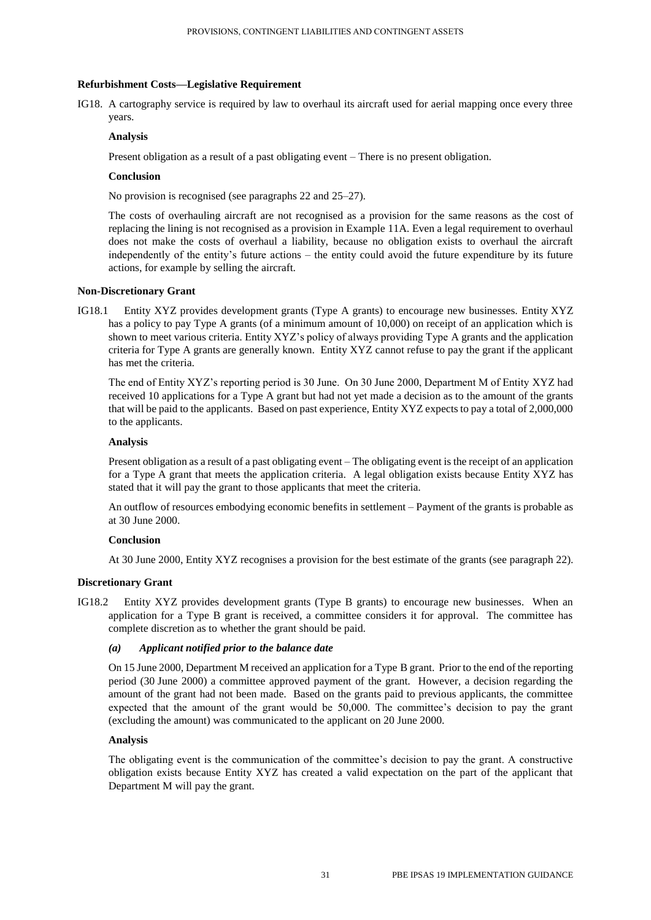# **Refurbishment Costs—Legislative Requirement**

IG18. A cartography service is required by law to overhaul its aircraft used for aerial mapping once every three years.

# **Analysis**

Present obligation as a result of a past obligating event – There is no present obligation.

# **Conclusion**

No provision is recognised (see paragraphs 22 and 25–27).

The costs of overhauling aircraft are not recognised as a provision for the same reasons as the cost of replacing the lining is not recognised as a provision in Example 11A. Even a legal requirement to overhaul does not make the costs of overhaul a liability, because no obligation exists to overhaul the aircraft independently of the entity's future actions – the entity could avoid the future expenditure by its future actions, for example by selling the aircraft.

#### **Non-Discretionary Grant**

IG18.1 Entity XYZ provides development grants (Type A grants) to encourage new businesses. Entity XYZ has a policy to pay Type A grants (of a minimum amount of 10,000) on receipt of an application which is shown to meet various criteria. Entity XYZ's policy of always providing Type A grants and the application criteria for Type A grants are generally known. Entity XYZ cannot refuse to pay the grant if the applicant has met the criteria.

The end of Entity XYZ's reporting period is 30 June. On 30 June 2000, Department M of Entity XYZ had received 10 applications for a Type A grant but had not yet made a decision as to the amount of the grants that will be paid to the applicants. Based on past experience, Entity XYZ expects to pay a total of 2,000,000 to the applicants.

# **Analysis**

Present obligation as a result of a past obligating event – The obligating event is the receipt of an application for a Type A grant that meets the application criteria. A legal obligation exists because Entity XYZ has stated that it will pay the grant to those applicants that meet the criteria.

An outflow of resources embodying economic benefits in settlement – Payment of the grants is probable as at 30 June 2000.

# **Conclusion**

At 30 June 2000, Entity XYZ recognises a provision for the best estimate of the grants (see paragraph 22).

# **Discretionary Grant**

IG18.2 Entity XYZ provides development grants (Type B grants) to encourage new businesses. When an application for a Type B grant is received, a committee considers it for approval. The committee has complete discretion as to whether the grant should be paid.

# *(a) Applicant notified prior to the balance date*

On 15 June 2000, Department M received an application for a Type B grant. Prior to the end of the reporting period (30 June 2000) a committee approved payment of the grant. However, a decision regarding the amount of the grant had not been made. Based on the grants paid to previous applicants, the committee expected that the amount of the grant would be 50,000. The committee's decision to pay the grant (excluding the amount) was communicated to the applicant on 20 June 2000.

#### **Analysis**

The obligating event is the communication of the committee's decision to pay the grant. A constructive obligation exists because Entity XYZ has created a valid expectation on the part of the applicant that Department M will pay the grant.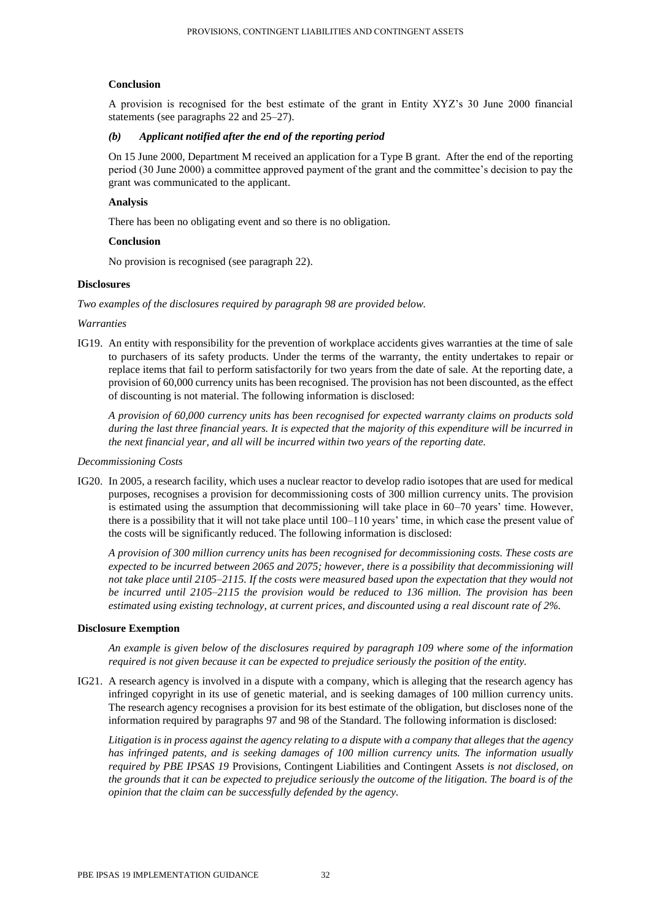# **Conclusion**

A provision is recognised for the best estimate of the grant in Entity XYZ's 30 June 2000 financial statements (see paragraphs 22 and 25–27).

# *(b) Applicant notified after the end of the reporting period*

On 15 June 2000, Department M received an application for a Type B grant. After the end of the reporting period (30 June 2000) a committee approved payment of the grant and the committee's decision to pay the grant was communicated to the applicant.

# **Analysis**

There has been no obligating event and so there is no obligation.

# **Conclusion**

No provision is recognised (see paragraph 22).

# **Disclosures**

*Two examples of the disclosures required by paragraph 98 are provided below.*

#### *Warranties*

IG19. An entity with responsibility for the prevention of workplace accidents gives warranties at the time of sale to purchasers of its safety products. Under the terms of the warranty, the entity undertakes to repair or replace items that fail to perform satisfactorily for two years from the date of sale. At the reporting date, a provision of 60,000 currency units has been recognised. The provision has not been discounted, as the effect of discounting is not material. The following information is disclosed:

*A provision of 60,000 currency units has been recognised for expected warranty claims on products sold during the last three financial years. It is expected that the majority of this expenditure will be incurred in the next financial year, and all will be incurred within two years of the reporting date.*

#### *Decommissioning Costs*

IG20. In 2005, a research facility, which uses a nuclear reactor to develop radio isotopes that are used for medical purposes, recognises a provision for decommissioning costs of 300 million currency units. The provision is estimated using the assumption that decommissioning will take place in 60–70 years' time. However, there is a possibility that it will not take place until 100–110 years' time, in which case the present value of the costs will be significantly reduced. The following information is disclosed:

*A provision of 300 million currency units has been recognised for decommissioning costs. These costs are expected to be incurred between 2065 and 2075; however, there is a possibility that decommissioning will not take place until 2105–2115. If the costs were measured based upon the expectation that they would not be incurred until 2105–2115 the provision would be reduced to 136 million. The provision has been estimated using existing technology, at current prices, and discounted using a real discount rate of 2%.*

#### **Disclosure Exemption**

*An example is given below of the disclosures required by paragraph 109 where some of the information required is not given because it can be expected to prejudice seriously the position of the entity.*

IG21. A research agency is involved in a dispute with a company, which is alleging that the research agency has infringed copyright in its use of genetic material, and is seeking damages of 100 million currency units. The research agency recognises a provision for its best estimate of the obligation, but discloses none of the information required by paragraphs 97 and 98 of the Standard. The following information is disclosed:

*Litigation is in process against the agency relating to a dispute with a company that alleges that the agency has infringed patents, and is seeking damages of 100 million currency units. The information usually required by PBE IPSAS 19* Provisions, Contingent Liabilities and Contingent Assets *is not disclosed, on the grounds that it can be expected to prejudice seriously the outcome of the litigation. The board is of the opinion that the claim can be successfully defended by the agency.*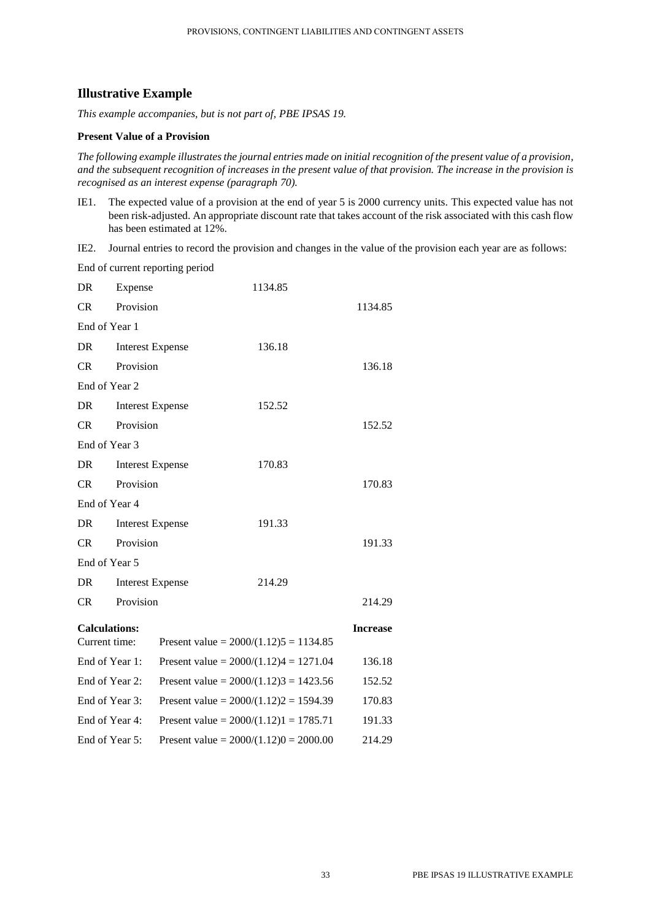# **Illustrative Example**

*This example accompanies, but is not part of, PBE IPSAS 19.*

# **Present Value of a Provision**

*The following example illustrates the journal entries made on initial recognition of the present value of a provision, and the subsequent recognition of increases in the present value of that provision. The increase in the provision is recognised as an interest expense (paragraph 70).*

IE1. The expected value of a provision at the end of year 5 is 2000 currency units. This expected value has not been risk-adjusted. An appropriate discount rate that takes account of the risk associated with this cash flow has been estimated at 12%.

IE2. Journal entries to record the provision and changes in the value of the provision each year are as follows:

|                                       |                | End of current reporting period |                                          |                 |
|---------------------------------------|----------------|---------------------------------|------------------------------------------|-----------------|
| DR                                    | Expense        |                                 | 1134.85                                  |                 |
| CR                                    | Provision      |                                 |                                          | 1134.85         |
| End of Year 1                         |                |                                 |                                          |                 |
| DR                                    |                | <b>Interest Expense</b>         | 136.18                                   |                 |
| CR                                    | Provision      |                                 |                                          | 136.18          |
| End of Year 2                         |                |                                 |                                          |                 |
| DR                                    |                | <b>Interest Expense</b>         | 152.52                                   |                 |
| CR                                    | Provision      |                                 |                                          | 152.52          |
| End of Year 3                         |                |                                 |                                          |                 |
| DR                                    |                | <b>Interest Expense</b>         | 170.83                                   |                 |
| CR                                    | Provision      |                                 |                                          | 170.83          |
| End of Year 4                         |                |                                 |                                          |                 |
| DR                                    |                | <b>Interest Expense</b>         | 191.33                                   |                 |
| CR                                    | Provision      |                                 |                                          | 191.33          |
| End of Year 5                         |                |                                 |                                          |                 |
| DR.                                   |                | <b>Interest Expense</b>         | 214.29                                   |                 |
| CR                                    | Provision      |                                 |                                          | 214.29          |
| <b>Calculations:</b><br>Current time: |                |                                 | Present value = $2000/(1.12)5 = 1134.85$ | <b>Increase</b> |
|                                       | End of Year 1: |                                 | Present value = $2000/(1.12)4 = 1271.04$ | 136.18          |
|                                       | End of Year 2: |                                 | Present value = $2000/(1.12)3 = 1423.56$ | 152.52          |
|                                       | End of Year 3: |                                 | Present value = $2000/(1.12)2 = 1594.39$ | 170.83          |
|                                       | End of Year 4: |                                 | Present value = $2000/(1.12)1 = 1785.71$ | 191.33          |
|                                       | End of Year 5: |                                 | Present value = $2000/(1.12)0 = 2000.00$ | 214.29          |
|                                       |                |                                 |                                          |                 |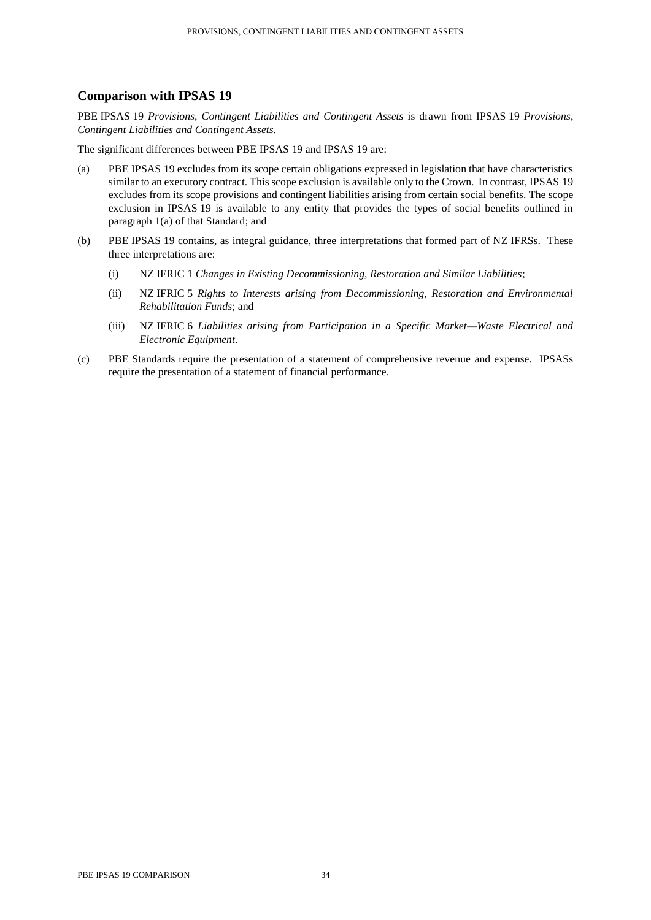# **Comparison with IPSAS 19**

PBE IPSAS 19 *Provisions, Contingent Liabilities and Contingent Assets* is drawn from IPSAS 19 *Provisions, Contingent Liabilities and Contingent Assets.*

The significant differences between PBE IPSAS 19 and IPSAS 19 are:

- (a) PBE IPSAS 19 excludes from its scope certain obligations expressed in legislation that have characteristics similar to an executory contract. This scope exclusion is available only to the Crown. In contrast, IPSAS 19 excludes from its scope provisions and contingent liabilities arising from certain social benefits. The scope exclusion in IPSAS 19 is available to any entity that provides the types of social benefits outlined in paragraph 1(a) of that Standard; and
- (b) PBE IPSAS 19 contains, as integral guidance, three interpretations that formed part of NZ IFRSs. These three interpretations are:
	- (i) NZ IFRIC 1 *Changes in Existing Decommissioning, Restoration and Similar Liabilities*;
	- (ii) NZ IFRIC 5 *Rights to Interests arising from Decommissioning, Restoration and Environmental Rehabilitation Funds*; and
	- (iii) NZ IFRIC 6 *Liabilities arising from Participation in a Specific Market—Waste Electrical and Electronic Equipment*.
- (c) PBE Standards require the presentation of a statement of comprehensive revenue and expense. IPSASs require the presentation of a statement of financial performance.